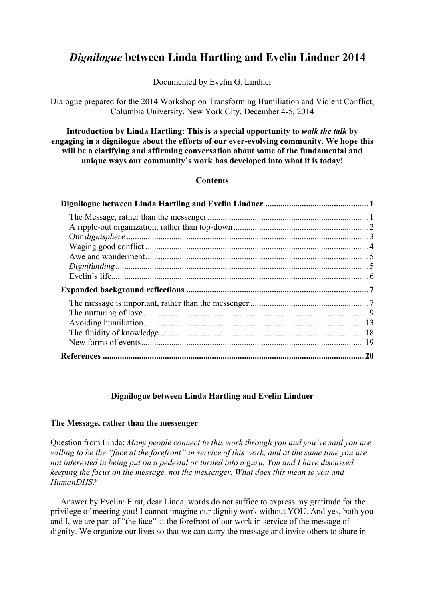# *Dignilogue* **between Linda Hartling and Evelin Lindner 2014**

Documented by Evelin G. Lindner

Dialogue prepared for the 2014 Workshop on Transforming Humiliation and Violent Conflict, Columbia University, New York City, December 4-5, 2014

**Introduction by Linda Hartling: This is a special opportunity to** *walk the talk* **by engaging in a dignilogue about the efforts of our ever-evolving community. We hope this will be a clarifying and affirming conversation about some of the fundamental and unique ways our community's work has developed into what it is today!**

# **Contents**

| . 20 |
|------|

# **Dignilogue between Linda Hartling and Evelin Lindner**

# <span id="page-0-1"></span><span id="page-0-0"></span>**The Message, rather than the messenger**

Question from Linda: *Many people connect to this work through you and you've said you are willing to be the "face at the forefront" in service of this work, and at the same time you are not interested in being put on a pedestal or turned into a guru. You and I have discussed keeping the focus on the message, not the messenger. What does this mean to you and HumanDHS?*

Answer by Evelin: First, dear Linda, words do not suffice to express my gratitude for the privilege of meeting you! I cannot imagine our dignity work without YOU. And yes, both you and I, we are part of "the face" at the forefront of our work in service of the message of dignity. We organize our lives so that we can carry the message and invite others to share in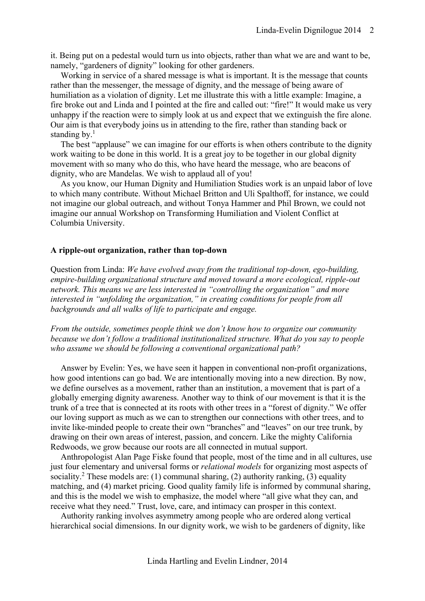it. Being put on a pedestal would turn us into objects, rather than what we are and want to be, namely, "gardeners of dignity" looking for other gardeners.

Working in service of a shared message is what is important. It is the message that counts rather than the messenger, the message of dignity, and the message of being aware of humiliation as a violation of dignity. Let me illustrate this with a little example: Imagine, a fire broke out and Linda and I pointed at the fire and called out: "fire!" It would make us very unhappy if the reaction were to simply look at us and expect that we extinguish the fire alone. Our aim is that everybody joins us in attending to the fire, rather than standing back or standing by.<sup>1</sup>

The best "applause" we can imagine for our efforts is when others contribute to the dignity work waiting to be done in this world. It is a great joy to be together in our global dignity movement with so many who do this, who have heard the message, who are beacons of dignity, who are Mandelas. We wish to applaud all of you!

As you know, our Human Dignity and Humiliation Studies work is an unpaid labor of love to which many contribute. Without Michael Britton and Uli Spalthoff, for instance, we could not imagine our global outreach, and without Tonya Hammer and Phil Brown, we could not imagine our annual Workshop on Transforming Humiliation and Violent Conflict at Columbia University.

# <span id="page-1-0"></span>**A ripple-out organization, rather than top-down**

Question from Linda: *We have evolved away from the traditional top-down, ego-building, empire-building organizational structure and moved toward a more ecological, ripple-out network. This means we are less interested in "controlling the organization" and more interested in "unfolding the organization," in creating conditions for people from all backgrounds and all walks of life to participate and engage.*

*From the outside, sometimes people think we don't know how to organize our community because we don't follow a traditional institutionalized structure. What do you say to people who assume we should be following a conventional organizational path?*

Answer by Evelin: Yes, we have seen it happen in conventional non-profit organizations, how good intentions can go bad. We are intentionally moving into a new direction. By now, we define ourselves as a movement, rather than an institution, a movement that is part of a globally emerging dignity awareness. Another way to think of our movement is that it is the trunk of a tree that is connected at its roots with other trees in a "forest of dignity." We offer our loving support as much as we can to strengthen our connections with other trees, and to invite like-minded people to create their own "branches" and "leaves" on our tree trunk, by drawing on their own areas of interest, passion, and concern. Like the mighty California Redwoods, we grow because our roots are all connected in mutual support.

Anthropologist Alan Page Fiske found that people, most of the time and in all cultures, use just four elementary and universal forms or *relational models* for organizing most aspects of sociality.<sup>2</sup> These models are: (1) communal sharing, (2) authority ranking, (3) equality matching, and (4) market pricing. Good quality family life is informed by communal sharing, and this is the model we wish to emphasize, the model where "all give what they can, and receive what they need." Trust, love, care, and intimacy can prosper in this context.

Authority ranking involves asymmetry among people who are ordered along vertical hierarchical social dimensions. In our dignity work, we wish to be gardeners of dignity, like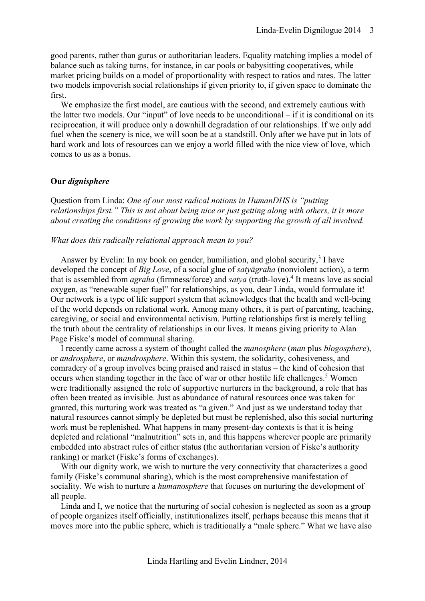good parents, rather than gurus or authoritarian leaders. Equality matching implies a model of balance such as taking turns, for instance, in car pools or babysitting cooperatives, while market pricing builds on a model of proportionality with respect to ratios and rates. The latter two models impoverish social relationships if given priority to, if given space to dominate the first.

We emphasize the first model, are cautious with the second, and extremely cautious with the latter two models. Our "input" of love needs to be unconditional – if it is conditional on its reciprocation, it will produce only a downhill degradation of our relationships. If we only add fuel when the scenery is nice, we will soon be at a standstill. Only after we have put in lots of hard work and lots of resources can we enjoy a world filled with the nice view of love, which comes to us as a bonus.

# <span id="page-2-0"></span>**Our** *dignisphere*

Question from Linda: *One of our most radical notions in HumanDHS is "putting relationships first." This is not about being nice or just getting along with others, it is more about creating the conditions of growing the work by supporting the growth of all involved.*

## *What does this radically relational approach mean to you?*

Answer by Evelin: In my book on gender, humiliation, and global security, $3$  I have developed the concept of *Big Love*, of a social glue of *satyāgraha* (nonviolent action), a term that is assembled from *agraha* (firmness/force) and *satya* (truth-love).<sup>4</sup> It means love as social oxygen, as "renewable super fuel" for relationships, as you, dear Linda, would formulate it! Our network is a type of life support system that acknowledges that the health and well-being of the world depends on relational work. Among many others, it is part of parenting, teaching, caregiving, or social and environmental activism. Putting relationships first is merely telling the truth about the centrality of relationships in our lives. It means giving priority to Alan Page Fiske's model of communal sharing.

I recently came across a system of thought called the *manosphere* (*man* plus *blogosphere*), or *androsphere*, or *mandrosphere*. Within this system, the solidarity, cohesiveness, and comradery of a group involves being praised and raised in status – the kind of cohesion that occurs when standing together in the face of war or other hostile life challenges.<sup>5</sup> Women were traditionally assigned the role of supportive nurturers in the background, a role that has often been treated as invisible. Just as abundance of natural resources once was taken for granted, this nurturing work was treated as "a given." And just as we understand today that natural resources cannot simply be depleted but must be replenished, also this social nurturing work must be replenished. What happens in many present-day contexts is that it is being depleted and relational "malnutrition" sets in, and this happens wherever people are primarily embedded into abstract rules of either status (the authoritarian version of Fiske's authority ranking) or market (Fiske's forms of exchanges).

With our dignity work, we wish to nurture the very connectivity that characterizes a good family (Fiske's communal sharing), which is the most comprehensive manifestation of sociality. We wish to nurture a *humanosphere* that focuses on nurturing the development of all people.

Linda and I, we notice that the nurturing of social cohesion is neglected as soon as a group of people organizes itself officially, institutionalizes itself, perhaps because this means that it moves more into the public sphere, which is traditionally a "male sphere." What we have also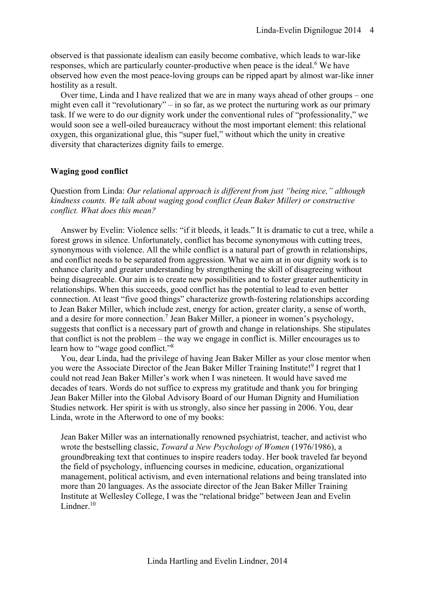observed is that passionate idealism can easily become combative, which leads to war-like responses, which are particularly counter-productive when peace is the ideal.<sup>6</sup> We have observed how even the most peace-loving groups can be ripped apart by almost war-like inner hostility as a result.

Over time, Linda and I have realized that we are in many ways ahead of other groups – one might even call it "revolutionary" – in so far, as we protect the nurturing work as our primary task. If we were to do our dignity work under the conventional rules of "professionality," we would soon see a well-oiled bureaucracy without the most important element: this relational oxygen, this organizational glue, this "super fuel," without which the unity in creative diversity that characterizes dignity fails to emerge.

# <span id="page-3-0"></span>**Waging good conflict**

Question from Linda: *Our relational approach is different from just "being nice," although kindness counts. We talk about waging good conflict (Jean Baker Miller) or constructive conflict. What does this mean?*

Answer by Evelin: Violence sells: "if it bleeds, it leads." It is dramatic to cut a tree, while a forest grows in silence. Unfortunately, conflict has become synonymous with cutting trees, synonymous with violence. All the while conflict is a natural part of growth in relationships, and conflict needs to be separated from aggression. What we aim at in our dignity work is to enhance clarity and greater understanding by strengthening the skill of disagreeing without being disagreeable. Our aim is to create new possibilities and to foster greater authenticity in relationships. When this succeeds, good conflict has the potential to lead to even better connection. At least "five good things" characterize growth-fostering relationships according to Jean Baker Miller, which include zest, energy for action, greater clarity, a sense of worth, and a desire for more connection. 7 Jean Baker Miller, a pioneer in women's psychology, suggests that conflict is a necessary part of growth and change in relationships. She stipulates that conflict is not the problem – the way we engage in conflict is. Miller encourages us to learn how to "wage good conflict."<sup>8</sup>

You, dear Linda, had the privilege of having Jean Baker Miller as your close mentor when you were the Associate Director of the Jean Baker Miller Training Institute!<sup>9</sup> I regret that I could not read Jean Baker Miller's work when I was nineteen. It would have saved me decades of tears. Words do not suffice to express my gratitude and thank you for bringing Jean Baker Miller into the Global Advisory Board of our Human Dignity and Humiliation Studies network. Her spirit is with us strongly, also since her passing in 2006. You, dear Linda, wrote in the Afterword to one of my books:

Jean Baker Miller was an internationally renowned psychiatrist, teacher, and activist who wrote the bestselling classic, *Toward a New Psychology of Women* (1976/1986), a groundbreaking text that continues to inspire readers today. Her book traveled far beyond the field of psychology, influencing courses in medicine, education, organizational management, political activism, and even international relations and being translated into more than 20 languages. As the associate director of the Jean Baker Miller Training Institute at Wellesley College, I was the "relational bridge" between Jean and Evelin Lindner $10$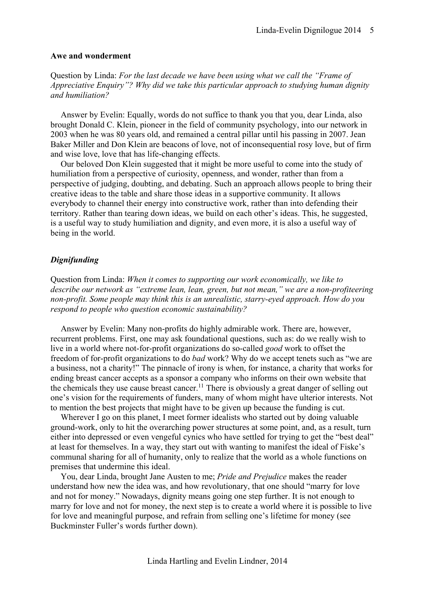## <span id="page-4-0"></span>**Awe and wonderment**

Question by Linda: *For the last decade we have been using what we call the "Frame of Appreciative Enquiry"? Why did we take this particular approach to studying human dignity and humiliation?*

Answer by Evelin: Equally, words do not suffice to thank you that you, dear Linda, also brought Donald C. Klein, pioneer in the field of community psychology, into our network in 2003 when he was 80 years old, and remained a central pillar until his passing in 2007. Jean Baker Miller and Don Klein are beacons of love, not of inconsequential rosy love, but of firm and wise love, love that has life-changing effects.

Our beloved Don Klein suggested that it might be more useful to come into the study of humiliation from a perspective of curiosity, openness, and wonder, rather than from a perspective of judging, doubting, and debating. Such an approach allows people to bring their creative ideas to the table and share those ideas in a supportive community. It allows everybody to channel their energy into constructive work, rather than into defending their territory. Rather than tearing down ideas, we build on each other's ideas. This, he suggested, is a useful way to study humiliation and dignity, and even more, it is also a useful way of being in the world.

# <span id="page-4-1"></span>*Dignifunding*

Question from Linda: *When it comes to supporting our work economically, we like to describe our network as "extreme lean, lean, green, but not mean," we are a non-profiteering non-profit. Some people may think this is an unrealistic, starry-eyed approach. How do you respond to people who question economic sustainability?*

Answer by Evelin: Many non-profits do highly admirable work. There are, however, recurrent problems. First, one may ask foundational questions, such as: do we really wish to live in a world where not-for-profit organizations do so-called *good* work to offset the freedom of for-profit organizations to do *bad* work? Why do we accept tenets such as "we are a business, not a charity!" The pinnacle of irony is when, for instance, a charity that works for ending breast cancer accepts as a sponsor a company who informs on their own website that the chemicals they use cause breast cancer.<sup>11</sup> There is obviously a great danger of selling out one's vision for the requirements of funders, many of whom might have ulterior interests. Not to mention the best projects that might have to be given up because the funding is cut.

Wherever I go on this planet, I meet former idealists who started out by doing valuable ground-work, only to hit the overarching power structures at some point, and, as a result, turn either into depressed or even vengeful cynics who have settled for trying to get the "best deal" at least for themselves. In a way, they start out with wanting to manifest the ideal of Fiske's communal sharing for all of humanity, only to realize that the world as a whole functions on premises that undermine this ideal.

You, dear Linda, brought Jane Austen to me; *Pride and Prejudice* makes the reader understand how new the idea was, and how revolutionary, that one should "marry for love and not for money." Nowadays, dignity means going one step further. It is not enough to marry for love and not for money, the next step is to create a world where it is possible to live for love and meaningful purpose, and refrain from selling one's lifetime for money (see Buckminster Fuller's words further down).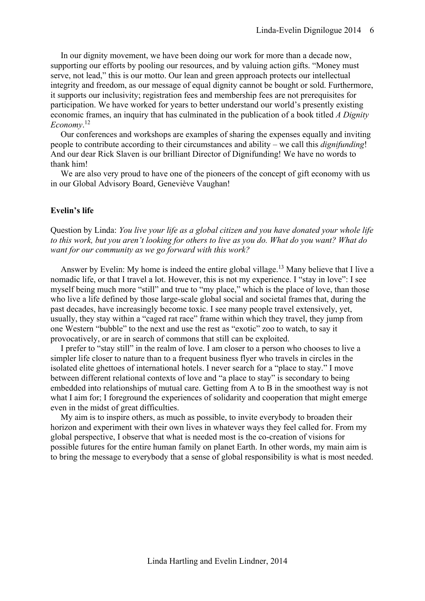In our dignity movement, we have been doing our work for more than a decade now, supporting our efforts by pooling our resources, and by valuing action gifts. "Money must serve, not lead," this is our motto. Our lean and green approach protects our intellectual integrity and freedom, as our message of equal dignity cannot be bought or sold. Furthermore, it supports our inclusivity; registration fees and membership fees are not prerequisites for participation. We have worked for years to better understand our world's presently existing economic frames, an inquiry that has culminated in the publication of a book titled *A Dignity Economy*. 12

Our conferences and workshops are examples of sharing the expenses equally and inviting people to contribute according to their circumstances and ability – we call this *dignifunding*! And our dear Rick Slaven is our brilliant Director of Dignifunding! We have no words to thank him!

We are also very proud to have one of the pioneers of the concept of gift economy with us in our Global Advisory Board, Geneviève Vaughan!

## <span id="page-5-0"></span>**Evelin's life**

Question by Linda: *You live your life as a global citizen and you have donated your whole life to this work, but you aren't looking for others to live as you do. What do you want? What do want for our community as we go forward with this work?*

Answer by Evelin: My home is indeed the entire global village.<sup>13</sup> Many believe that I live a nomadic life, or that I travel a lot. However, this is not my experience. I "stay in love": I see myself being much more "still" and true to "my place," which is the place of love, than those who live a life defined by those large-scale global social and societal frames that, during the past decades, have increasingly become toxic. I see many people travel extensively, yet, usually, they stay within a "caged rat race" frame within which they travel, they jump from one Western "bubble" to the next and use the rest as "exotic" zoo to watch, to say it provocatively, or are in search of commons that still can be exploited.

I prefer to "stay still" in the realm of love. I am closer to a person who chooses to live a simpler life closer to nature than to a frequent business flyer who travels in circles in the isolated elite ghettoes of international hotels. I never search for a "place to stay." I move between different relational contexts of love and "a place to stay" is secondary to being embedded into relationships of mutual care. Getting from A to B in the smoothest way is not what I aim for; I foreground the experiences of solidarity and cooperation that might emerge even in the midst of great difficulties.

My aim is to inspire others, as much as possible, to invite everybody to broaden their horizon and experiment with their own lives in whatever ways they feel called for. From my global perspective, I observe that what is needed most is the co-creation of visions for possible futures for the entire human family on planet Earth. In other words, my main aim is to bring the message to everybody that a sense of global responsibility is what is most needed.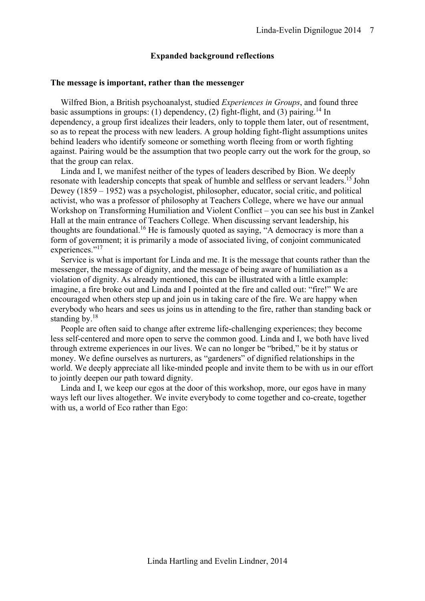## **Expanded background reflections**

# <span id="page-6-1"></span><span id="page-6-0"></span>**The message is important, rather than the messenger**

Wilfred Bion, a British psychoanalyst, studied *Experiences in Groups*, and found three basic assumptions in groups: (1) dependency, (2) fight-flight, and (3) pairing.<sup>14</sup> In dependency, a group first idealizes their leaders, only to topple them later, out of resentment, so as to repeat the process with new leaders. A group holding fight-flight assumptions unites behind leaders who identify someone or something worth fleeing from or worth fighting against. Pairing would be the assumption that two people carry out the work for the group, so that the group can relax.

Linda and I, we manifest neither of the types of leaders described by Bion. We deeply resonate with leadership concepts that speak of humble and selfless or servant leaders.<sup>15</sup> John Dewey (1859 – 1952) was a psychologist, philosopher, educator, social critic, and political activist, who was a professor of philosophy at Teachers College, where we have our annual Workshop on Transforming Humiliation and Violent Conflict – you can see his bust in Zankel Hall at the main entrance of Teachers College. When discussing servant leadership, his thoughts are foundational. <sup>16</sup> He is famously quoted as saying, "A democracy is more than a form of government; it is primarily a mode of associated living, of conjoint communicated experiences."<sup>17</sup>

Service is what is important for Linda and me. It is the message that counts rather than the messenger, the message of dignity, and the message of being aware of humiliation as a violation of dignity. As already mentioned, this can be illustrated with a little example: imagine, a fire broke out and Linda and I pointed at the fire and called out: "fire!" We are encouraged when others step up and join us in taking care of the fire. We are happy when everybody who hears and sees us joins us in attending to the fire, rather than standing back or standing by.<sup>18</sup>

People are often said to change after extreme life-challenging experiences; they become less self-centered and more open to serve the common good. Linda and I, we both have lived through extreme experiences in our lives. We can no longer be "bribed," be it by status or money. We define ourselves as nurturers, as "gardeners" of dignified relationships in the world. We deeply appreciate all like-minded people and invite them to be with us in our effort to jointly deepen our path toward dignity.

Linda and I, we keep our egos at the door of this workshop, more, our egos have in many ways left our lives altogether. We invite everybody to come together and co-create, together with us, a world of Eco rather than Ego: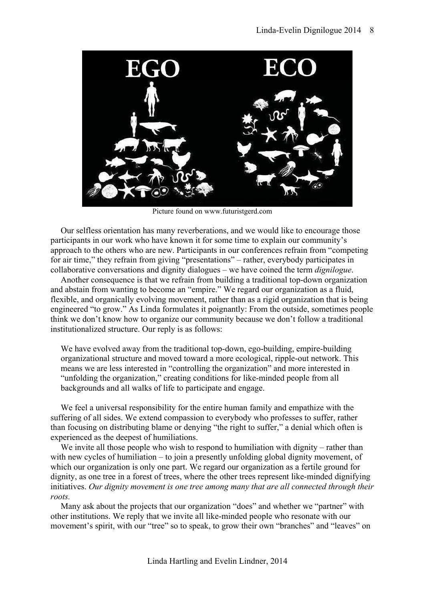

Picture found on www.futuristgerd.com

Our selfless orientation has many reverberations, and we would like to encourage those participants in our work who have known it for some time to explain our community's approach to the others who are new. Participants in our conferences refrain from "competing for air time," they refrain from giving "presentations" – rather, everybody participates in collaborative conversations and dignity dialogues – we have coined the term *dignilogue*.

Another consequence is that we refrain from building a traditional top-down organization and abstain from wanting to become an "empire." We regard our organization as a fluid, flexible, and organically evolving movement, rather than as a rigid organization that is being engineered "to grow." As Linda formulates it poignantly: From the outside, sometimes people think we don't know how to organize our community because we don't follow a traditional institutionalized structure. Our reply is as follows:

We have evolved away from the traditional top-down, ego-building, empire-building organizational structure and moved toward a more ecological, ripple-out network. This means we are less interested in "controlling the organization" and more interested in "unfolding the organization," creating conditions for like-minded people from all backgrounds and all walks of life to participate and engage.

We feel a universal responsibility for the entire human family and empathize with the suffering of all sides. We extend compassion to everybody who professes to suffer, rather than focusing on distributing blame or denying "the right to suffer," a denial which often is experienced as the deepest of humiliations.

We invite all those people who wish to respond to humiliation with dignity – rather than with new cycles of humiliation – to join a presently unfolding global dignity movement, of which our organization is only one part. We regard our organization as a fertile ground for dignity, as one tree in a forest of trees, where the other trees represent like-minded dignifying initiatives. *Our dignity movement is one tree among many that are all connected through their roots.*

Many ask about the projects that our organization "does" and whether we "partner" with other institutions. We reply that we invite all like-minded people who resonate with our movement's spirit, with our "tree" so to speak, to grow their own "branches" and "leaves" on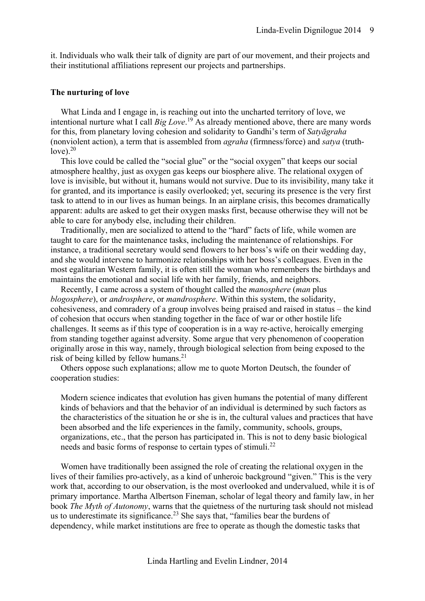it. Individuals who walk their talk of dignity are part of our movement, and their projects and their institutional affiliations represent our projects and partnerships.

## <span id="page-8-0"></span>**The nurturing of love**

What Linda and I engage in, is reaching out into the uncharted territory of love, we intentional nurture what I call *Big Love*. <sup>19</sup> As already mentioned above, there are many words for this, from planetary loving cohesion and solidarity to Gandhi's term of *Satyāgraha* (nonviolent action), a term that is assembled from *agraha* (firmness/force) and *satya* (truthlove). $20$ 

This love could be called the "social glue" or the "social oxygen" that keeps our social atmosphere healthy, just as oxygen gas keeps our biosphere alive. The relational oxygen of love is invisible, but without it, humans would not survive. Due to its invisibility, many take it for granted, and its importance is easily overlooked; yet, securing its presence is the very first task to attend to in our lives as human beings. In an airplane crisis, this becomes dramatically apparent: adults are asked to get their oxygen masks first, because otherwise they will not be able to care for anybody else, including their children.

Traditionally, men are socialized to attend to the "hard" facts of life, while women are taught to care for the maintenance tasks, including the maintenance of relationships. For instance, a traditional secretary would send flowers to her boss's wife on their wedding day, and she would intervene to harmonize relationships with her boss's colleagues. Even in the most egalitarian Western family, it is often still the woman who remembers the birthdays and maintains the emotional and social life with her family, friends, and neighbors.

Recently, I came across a system of thought called the *manosphere* (*man* plus *blogosphere*), or *androsphere*, or *mandrosphere*. Within this system, the solidarity, cohesiveness, and comradery of a group involves being praised and raised in status – the kind of cohesion that occurs when standing together in the face of war or other hostile life challenges. It seems as if this type of cooperation is in a way re-active, heroically emerging from standing together against adversity. Some argue that very phenomenon of cooperation originally arose in this way, namely, through biological selection from being exposed to the risk of being killed by fellow humans. 21

Others oppose such explanations; allow me to quote Morton Deutsch, the founder of cooperation studies:

Modern science indicates that evolution has given humans the potential of many different kinds of behaviors and that the behavior of an individual is determined by such factors as the characteristics of the situation he or she is in, the cultural values and practices that have been absorbed and the life experiences in the family, community, schools, groups, organizations, etc., that the person has participated in. This is not to deny basic biological needs and basic forms of response to certain types of stimuli.<sup>22</sup>

Women have traditionally been assigned the role of creating the relational oxygen in the lives of their families pro-actively, as a kind of unheroic background "given." This is the very work that, according to our observation, is the most overlooked and undervalued, while it is of primary importance. Martha Albertson Fineman, scholar of legal theory and family law, in her book *The Myth of Autonomy*, warns that the quietness of the nurturing task should not mislead us to underestimate its significance.<sup>23</sup> She says that, "families bear the burdens of dependency, while market institutions are free to operate as though the domestic tasks that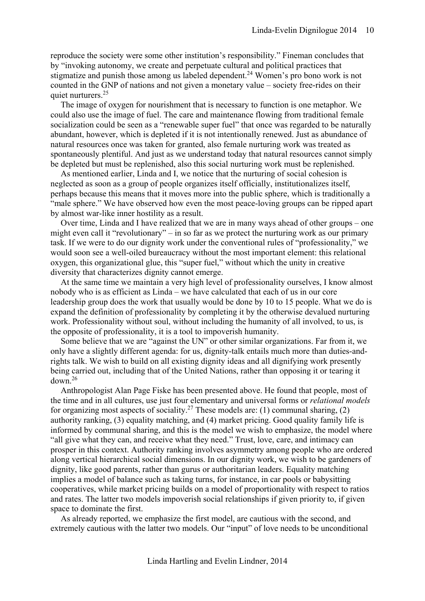reproduce the society were some other institution's responsibility." Fineman concludes that by "invoking autonomy, we create and perpetuate cultural and political practices that stigmatize and punish those among us labeled dependent.<sup>24</sup> Women's pro bono work is not counted in the GNP of nations and not given a monetary value – society free-rides on their quiet nurturers.<sup>25</sup>

The image of oxygen for nourishment that is necessary to function is one metaphor. We could also use the image of fuel. The care and maintenance flowing from traditional female socialization could be seen as a "renewable super fuel" that once was regarded to be naturally abundant, however, which is depleted if it is not intentionally renewed. Just as abundance of natural resources once was taken for granted, also female nurturing work was treated as spontaneously plentiful. And just as we understand today that natural resources cannot simply be depleted but must be replenished, also this social nurturing work must be replenished.

As mentioned earlier, Linda and I, we notice that the nurturing of social cohesion is neglected as soon as a group of people organizes itself officially, institutionalizes itself, perhaps because this means that it moves more into the public sphere, which is traditionally a "male sphere." We have observed how even the most peace-loving groups can be ripped apart by almost war-like inner hostility as a result.

Over time, Linda and I have realized that we are in many ways ahead of other groups – one might even call it "revolutionary" – in so far as we protect the nurturing work as our primary task. If we were to do our dignity work under the conventional rules of "professionality," we would soon see a well-oiled bureaucracy without the most important element: this relational oxygen, this organizational glue, this "super fuel," without which the unity in creative diversity that characterizes dignity cannot emerge.

At the same time we maintain a very high level of professionality ourselves, I know almost nobody who is as efficient as Linda – we have calculated that each of us in our core leadership group does the work that usually would be done by 10 to 15 people. What we do is expand the definition of professionality by completing it by the otherwise devalued nurturing work. Professionality without soul, without including the humanity of all involved, to us, is the opposite of professionality, it is a tool to impoverish humanity.

Some believe that we are "against the UN" or other similar organizations. Far from it, we only have a slightly different agenda: for us, dignity-talk entails much more than duties-andrights talk. We wish to build on all existing dignity ideas and all dignifying work presently being carried out, including that of the United Nations, rather than opposing it or tearing it  $down<sup>26</sup>$ 

Anthropologist Alan Page Fiske has been presented above. He found that people, most of the time and in all cultures, use just four elementary and universal forms or *relational models*  for organizing most aspects of sociality.<sup>27</sup> These models are: (1) communal sharing, (2) authority ranking, (3) equality matching, and (4) market pricing. Good quality family life is informed by communal sharing, and this is the model we wish to emphasize, the model where "all give what they can, and receive what they need." Trust, love, care, and intimacy can prosper in this context. Authority ranking involves asymmetry among people who are ordered along vertical hierarchical social dimensions. In our dignity work, we wish to be gardeners of dignity, like good parents, rather than gurus or authoritarian leaders. Equality matching implies a model of balance such as taking turns, for instance, in car pools or babysitting cooperatives, while market pricing builds on a model of proportionality with respect to ratios and rates. The latter two models impoverish social relationships if given priority to, if given space to dominate the first.

As already reported, we emphasize the first model, are cautious with the second, and extremely cautious with the latter two models. Our "input" of love needs to be unconditional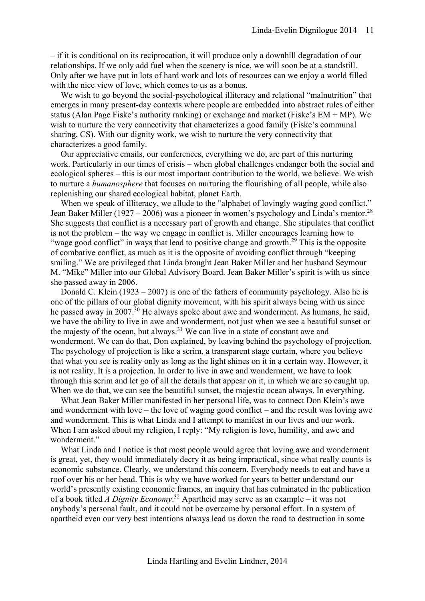– if it is conditional on its reciprocation, it will produce only a downhill degradation of our relationships. If we only add fuel when the scenery is nice, we will soon be at a standstill. Only after we have put in lots of hard work and lots of resources can we enjoy a world filled with the nice view of love, which comes to us as a bonus.

We wish to go beyond the social-psychological illiteracy and relational "malnutrition" that emerges in many present-day contexts where people are embedded into abstract rules of either status (Alan Page Fiske's authority ranking) or exchange and market (Fiske's EM + MP). We wish to nurture the very connectivity that characterizes a good family (Fiske's communal sharing, CS). With our dignity work, we wish to nurture the very connectivity that characterizes a good family.

Our appreciative emails, our conferences, everything we do, are part of this nurturing work. Particularly in our times of crisis – when global challenges endanger both the social and ecological spheres – this is our most important contribution to the world, we believe. We wish to nurture a *humanosphere* that focuses on nurturing the flourishing of all people, while also replenishing our shared ecological habitat, planet Earth.

When we speak of illiteracy, we allude to the "alphabet of lovingly waging good conflict." Jean Baker Miller (1927 – 2006) was a pioneer in women's psychology and Linda's mentor.<sup>28</sup> She suggests that conflict is a necessary part of growth and change. She stipulates that conflict is not the problem – the way we engage in conflict is. Miller encourages learning how to "wage good conflict" in ways that lead to positive change and growth.<sup>29</sup> This is the opposite of combative conflict, as much as it is the opposite of avoiding conflict through "keeping smiling." We are privileged that Linda brought Jean Baker Miller and her husband Seymour M. "Mike" Miller into our Global Advisory Board. Jean Baker Miller's spirit is with us since she passed away in 2006.

Donald C. Klein (1923 – 2007) is one of the fathers of community psychology. Also he is one of the pillars of our global dignity movement, with his spirit always being with us since he passed away in 2007.<sup>30</sup> He always spoke about awe and wonderment. As humans, he said, we have the ability to live in awe and wonderment, not just when we see a beautiful sunset or the majesty of the ocean, but always.<sup>31</sup> We can live in a state of constant awe and wonderment. We can do that, Don explained, by leaving behind the psychology of projection. The psychology of projection is like a scrim, a transparent stage curtain, where you believe that what you see is reality only as long as the light shines on it in a certain way. However, it is not reality. It is a projection. In order to live in awe and wonderment, we have to look through this scrim and let go of all the details that appear on it, in which we are so caught up. When we do that, we can see the beautiful sunset, the majestic ocean always. In everything.

What Jean Baker Miller manifested in her personal life, was to connect Don Klein's awe and wonderment with love – the love of waging good conflict – and the result was loving awe and wonderment. This is what Linda and I attempt to manifest in our lives and our work. When I am asked about my religion, I reply: "My religion is love, humility, and awe and wonderment."

What Linda and I notice is that most people would agree that loving awe and wonderment is great, yet, they would immediately decry it as being impractical, since what really counts is economic substance. Clearly, we understand this concern. Everybody needs to eat and have a roof over his or her head. This is why we have worked for years to better understand our world's presently existing economic frames, an inquiry that has culminated in the publication of a book titled *A Dignity Economy*. <sup>32</sup> Apartheid may serve as an example – it was not anybody's personal fault, and it could not be overcome by personal effort. In a system of apartheid even our very best intentions always lead us down the road to destruction in some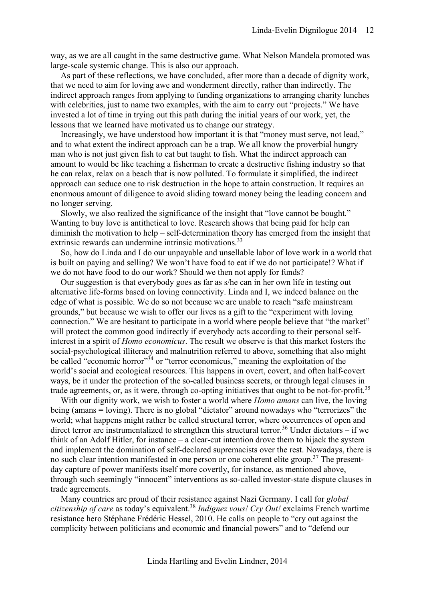way, as we are all caught in the same destructive game. What Nelson Mandela promoted was large-scale systemic change. This is also our approach.

As part of these reflections, we have concluded, after more than a decade of dignity work, that we need to aim for loving awe and wonderment directly, rather than indirectly. The indirect approach ranges from applying to funding organizations to arranging charity lunches with celebrities, just to name two examples, with the aim to carry out "projects." We have invested a lot of time in trying out this path during the initial years of our work, yet, the lessons that we learned have motivated us to change our strategy.

Increasingly, we have understood how important it is that "money must serve, not lead," and to what extent the indirect approach can be a trap. We all know the proverbial hungry man who is not just given fish to eat but taught to fish. What the indirect approach can amount to would be like teaching a fisherman to create a destructive fishing industry so that he can relax, relax on a beach that is now polluted. To formulate it simplified, the indirect approach can seduce one to risk destruction in the hope to attain construction. It requires an enormous amount of diligence to avoid sliding toward money being the leading concern and no longer serving.

Slowly, we also realized the significance of the insight that "love cannot be bought." Wanting to buy love is antithetical to love. Research shows that being paid for help can diminish the motivation to help – self-determination theory has emerged from the insight that extrinsic rewards can undermine intrinsic motivations.<sup>33</sup>

So, how do Linda and I do our unpayable and unsellable labor of love work in a world that is built on paying and selling? We won't have food to eat if we do not participate!? What if we do not have food to do our work? Should we then not apply for funds?

Our suggestion is that everybody goes as far as s/he can in her own life in testing out alternative life-forms based on loving connectivity. Linda and I, we indeed balance on the edge of what is possible. We do so not because we are unable to reach "safe mainstream grounds," but because we wish to offer our lives as a gift to the "experiment with loving connection." We are hesitant to participate in a world where people believe that "the market" will protect the common good indirectly if everybody acts according to their personal selfinterest in a spirit of *Homo economicus*. The result we observe is that this market fosters the social-psychological illiteracy and malnutrition referred to above, something that also might be called "economic horror"<sup>34</sup> or "terror economicus," meaning the exploitation of the world's social and ecological resources. This happens in overt, covert, and often half-covert ways, be it under the protection of the so-called business secrets, or through legal clauses in trade agreements, or, as it were, through co-opting initiatives that ought to be not-for-profit.<sup>35</sup>

With our dignity work, we wish to foster a world where *Homo amans* can live, the loving being (amans = loving). There is no global "dictator" around nowadays who "terrorizes" the world; what happens might rather be called structural terror, where occurrences of open and direct terror are instrumentalized to strengthen this structural terror.<sup>36</sup> Under dictators – if we think of an Adolf Hitler, for instance – a clear-cut intention drove them to hijack the system and implement the domination of self-declared supremacists over the rest. Nowadays, there is no such clear intention manifested in one person or one coherent elite group.<sup>37</sup> The presentday capture of power manifests itself more covertly, for instance, as mentioned above, through such seemingly "innocent" interventions as so-called investor-state dispute clauses in trade agreements.

Many countries are proud of their resistance against Nazi Germany. I call for *global citizenship of care* as today's equivalent.<sup>38</sup> *Indignez vous! Cry Out!* exclaims French wartime resistance hero Stéphane Frédéric Hessel, 2010. He calls on people to "cry out against the complicity between politicians and economic and financial powers" and to "defend our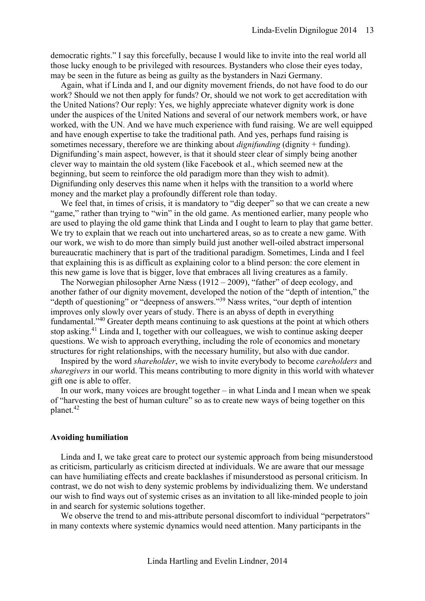democratic rights." I say this forcefully, because I would like to invite into the real world all those lucky enough to be privileged with resources. Bystanders who close their eyes today, may be seen in the future as being as guilty as the bystanders in Nazi Germany.

Again, what if Linda and I, and our dignity movement friends, do not have food to do our work? Should we not then apply for funds? Or, should we not work to get accreditation with the United Nations? Our reply: Yes, we highly appreciate whatever dignity work is done under the auspices of the United Nations and several of our network members work, or have worked, with the UN. And we have much experience with fund raising. We are well equipped and have enough expertise to take the traditional path. And yes, perhaps fund raising is sometimes necessary, therefore we are thinking about *dignifunding* (dignity + funding). Dignifunding's main aspect, however, is that it should steer clear of simply being another clever way to maintain the old system (like Facebook et al., which seemed new at the beginning, but seem to reinforce the old paradigm more than they wish to admit). Dignifunding only deserves this name when it helps with the transition to a world where money and the market play a profoundly different role than today.

We feel that, in times of crisis, it is mandatory to "dig deeper" so that we can create a new "game," rather than trying to "win" in the old game. As mentioned earlier, many people who are used to playing the old game think that Linda and I ought to learn to play that game better. We try to explain that we reach out into unchartered areas, so as to create a new game. With our work, we wish to do more than simply build just another well-oiled abstract impersonal bureaucratic machinery that is part of the traditional paradigm. Sometimes, Linda and I feel that explaining this is as difficult as explaining color to a blind person: the core element in this new game is love that is bigger, love that embraces all living creatures as a family.

The Norwegian philosopher Arne Næss (1912 – 2009), "father" of deep ecology, and another father of our dignity movement, developed the notion of the "depth of intention," the "depth of questioning" or "deepness of answers." <sup>39</sup> Næss writes, "our depth of intention improves only slowly over years of study. There is an abyss of depth in everything fundamental."<sup>40</sup> Greater depth means continuing to ask questions at the point at which others stop asking.<sup>41</sup> Linda and I, together with our colleagues, we wish to continue asking deeper questions. We wish to approach everything, including the role of economics and monetary structures for right relationships, with the necessary humility, but also with due candor.

Inspired by the word *shareholder*, we wish to invite everybody to become *careholders* and *sharegivers* in our world. This means contributing to more dignity in this world with whatever gift one is able to offer.

In our work, many voices are brought together – in what Linda and I mean when we speak of "harvesting the best of human culture" so as to create new ways of being together on this planet.<sup>42</sup>

## <span id="page-12-0"></span>**Avoiding humiliation**

Linda and I, we take great care to protect our systemic approach from being misunderstood as criticism, particularly as criticism directed at individuals. We are aware that our message can have humiliating effects and create backlashes if misunderstood as personal criticism. In contrast, we do not wish to deny systemic problems by individualizing them. We understand our wish to find ways out of systemic crises as an invitation to all like-minded people to join in and search for systemic solutions together.

We observe the trend to and mis-attribute personal discomfort to individual "perpetrators" in many contexts where systemic dynamics would need attention. Many participants in the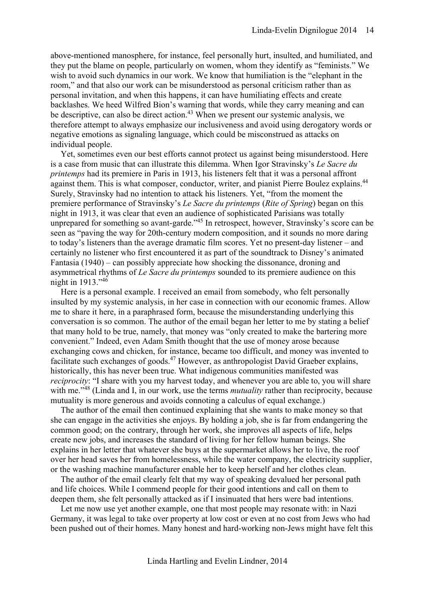above-mentioned manosphere, for instance, feel personally hurt, insulted, and humiliated, and they put the blame on people, particularly on women, whom they identify as "feminists." We wish to avoid such dynamics in our work. We know that humiliation is the "elephant in the room," and that also our work can be misunderstood as personal criticism rather than as personal invitation, and when this happens, it can have humiliating effects and create backlashes. We heed Wilfred Bion's warning that words, while they carry meaning and can be descriptive, can also be direct action.<sup>43</sup> When we present our systemic analysis, we therefore attempt to always emphasize our inclusiveness and avoid using derogatory words or negative emotions as signaling language, which could be misconstrued as attacks on individual people.

Yet, sometimes even our best efforts cannot protect us against being misunderstood. Here is a case from music that can illustrate this dilemma. When Igor Stravinsky's *Le Sacre du printemps* had its premiere in Paris in 1913, his listeners felt that it was a personal affront against them. This is what composer, conductor, writer, and pianist Pierre Boulez explains.<sup>44</sup> Surely, Stravinsky had no intention to attack his listeners. Yet, "from the moment the premiere performance of Stravinsky's *Le Sacre du printemps* (*Rite of Spring*) began on this night in 1913, it was clear that even an audience of sophisticated Parisians was totally unprepared for something so avant-garde."<sup>45</sup> In retrospect, however, Stravinsky's score can be seen as "paving the way for 20th-century modern composition, and it sounds no more daring to today's listeners than the average dramatic film scores. Yet no present-day listener – and certainly no listener who first encountered it as part of the soundtrack to Disney's animated Fantasia (1940) – can possibly appreciate how shocking the dissonance, droning and asymmetrical rhythms of *Le Sacre du printemps* sounded to its premiere audience on this night in 1913." 46

Here is a personal example. I received an email from somebody, who felt personally insulted by my systemic analysis, in her case in connection with our economic frames. Allow me to share it here, in a paraphrased form, because the misunderstanding underlying this conversation is so common. The author of the email began her letter to me by stating a belief that many hold to be true, namely, that money was "only created to make the bartering more convenient." Indeed, even Adam Smith thought that the use of money arose because exchanging cows and chicken, for instance, became too difficult, and money was invented to facilitate such exchanges of goods.<sup>47</sup> However, as anthropologist David Graeber explains, historically, this has never been true. What indigenous communities manifested was *reciprocity*: "I share with you my harvest today, and whenever you are able to, you will share with me."<sup>48</sup> (Linda and I, in our work, use the terms *mutuality* rather than reciprocity, because mutuality is more generous and avoids connoting a calculus of equal exchange.)

The author of the email then continued explaining that she wants to make money so that she can engage in the activities she enjoys. By holding a job, she is far from endangering the common good; on the contrary, through her work, she improves all aspects of life, helps create new jobs, and increases the standard of living for her fellow human beings. She explains in her letter that whatever she buys at the supermarket allows her to live, the roof over her head saves her from homelessness, while the water company, the electricity supplier, or the washing machine manufacturer enable her to keep herself and her clothes clean.

The author of the email clearly felt that my way of speaking devalued her personal path and life choices. While I commend people for their good intentions and call on them to deepen them, she felt personally attacked as if I insinuated that hers were bad intentions.

Let me now use yet another example, one that most people may resonate with: in Nazi Germany, it was legal to take over property at low cost or even at no cost from Jews who had been pushed out of their homes. Many honest and hard-working non-Jews might have felt this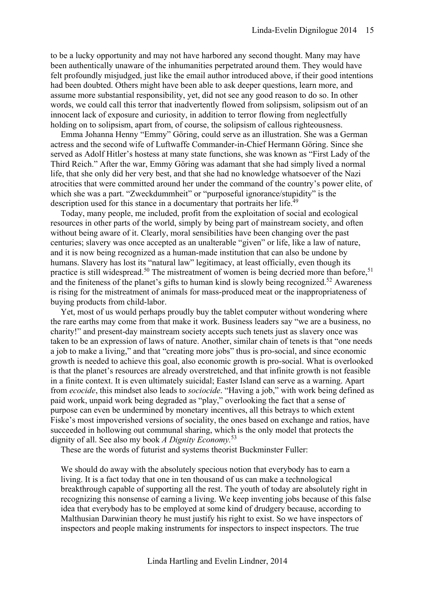to be a lucky opportunity and may not have harbored any second thought. Many may have been authentically unaware of the inhumanities perpetrated around them. They would have felt profoundly misjudged, just like the email author introduced above, if their good intentions had been doubted. Others might have been able to ask deeper questions, learn more, and assume more substantial responsibility, yet, did not see any good reason to do so. In other words, we could call this terror that inadvertently flowed from solipsism, solipsism out of an innocent lack of exposure and curiosity, in addition to terror flowing from neglectfully holding on to solipsism, apart from, of course, the solipsism of callous righteousness.

Emma Johanna Henny "Emmy" Göring, could serve as an illustration. She was a German actress and the second wife of Luftwaffe Commander-in-Chief Hermann Göring. Since she served as Adolf Hitler's hostess at many state functions, she was known as "First Lady of the Third Reich." After the war, Emmy Göring was adamant that she had simply lived a normal life, that she only did her very best, and that she had no knowledge whatsoever of the Nazi atrocities that were committed around her under the command of the country's power elite, of which she was a part. "Zweckdummheit" or "purposeful ignorance/stupidity" is the description used for this stance in a documentary that portraits her life.<sup>49</sup>

Today, many people, me included, profit from the exploitation of social and ecological resources in other parts of the world, simply by being part of mainstream society, and often without being aware of it. Clearly, moral sensibilities have been changing over the past centuries; slavery was once accepted as an unalterable "given" or life, like a law of nature, and it is now being recognized as a human-made institution that can also be undone by humans. Slavery has lost its "natural law" legitimacy, at least officially, even though its practice is still widespread.<sup>50</sup> The mistreatment of women is being decried more than before,<sup>51</sup> and the finiteness of the planet's gifts to human kind is slowly being recognized.<sup>52</sup> Awareness is rising for the mistreatment of animals for mass-produced meat or the inappropriateness of buying products from child-labor.

Yet, most of us would perhaps proudly buy the tablet computer without wondering where the rare earths may come from that make it work. Business leaders say "we are a business, no charity!" and present-day mainstream society accepts such tenets just as slavery once was taken to be an expression of laws of nature. Another, similar chain of tenets is that "one needs a job to make a living," and that "creating more jobs" thus is pro-social, and since economic growth is needed to achieve this goal, also economic growth is pro-social. What is overlooked is that the planet's resources are already overstretched, and that infinite growth is not feasible in a finite context. It is even ultimately suicidal; Easter Island can serve as a warning. Apart from *ecocide*, this mindset also leads to *sociocide*. "Having a job," with work being defined as paid work, unpaid work being degraded as "play," overlooking the fact that a sense of purpose can even be undermined by monetary incentives, all this betrays to which extent Fiske's most impoverished versions of sociality, the ones based on exchange and ratios, have succeeded in hollowing out communal sharing, which is the only model that protects the dignity of all. See also my book *A Dignity Economy.*<sup>53</sup>

These are the words of futurist and systems theorist Buckminster Fuller:

We should do away with the absolutely specious notion that everybody has to earn a living. It is a fact today that one in ten thousand of us can make a technological breakthrough capable of supporting all the rest. The youth of today are absolutely right in recognizing this nonsense of earning a living. We keep inventing jobs because of this false idea that everybody has to be employed at some kind of drudgery because, according to Malthusian Darwinian theory he must justify his right to exist. So we have inspectors of inspectors and people making instruments for inspectors to inspect inspectors. The true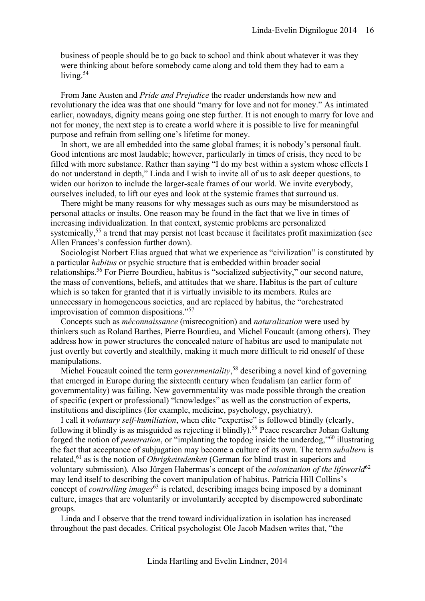business of people should be to go back to school and think about whatever it was they were thinking about before somebody came along and told them they had to earn a living.<sup>54</sup>

From Jane Austen and *Pride and Prejudice* the reader understands how new and revolutionary the idea was that one should "marry for love and not for money." As intimated earlier, nowadays, dignity means going one step further. It is not enough to marry for love and not for money, the next step is to create a world where it is possible to live for meaningful purpose and refrain from selling one's lifetime for money.

In short, we are all embedded into the same global frames; it is nobody's personal fault. Good intentions are most laudable; however, particularly in times of crisis, they need to be filled with more substance. Rather than saying "I do my best within a system whose effects I do not understand in depth," Linda and I wish to invite all of us to ask deeper questions, to widen our horizon to include the larger-scale frames of our world. We invite everybody, ourselves included, to lift our eyes and look at the systemic frames that surround us.

There might be many reasons for why messages such as ours may be misunderstood as personal attacks or insults. One reason may be found in the fact that we live in times of increasing individualization. In that context, systemic problems are personalized systemically,<sup>55</sup> a trend that may persist not least because it facilitates profit maximization (see Allen Frances's confession further down).

Sociologist Norbert Elias argued that what we experience as "civilization" is constituted by a particular *habitus* or psychic structure that is embedded within broader social relationships.<sup>56</sup> For Pierre Bourdieu, habitus is "socialized subjectivity," our second nature, the mass of conventions, beliefs, and attitudes that we share. Habitus is the part of culture which is so taken for granted that it is virtually invisible to its members. Rules are unnecessary in homogeneous societies, and are replaced by habitus, the "orchestrated improvisation of common dispositions." 57

Concepts such as *méconnaissance* (misrecognition) and *naturalization* were used by thinkers such as Roland Barthes, Pierre Bourdieu, and Michel Foucault (among others). They address how in power structures the concealed nature of habitus are used to manipulate not just overtly but covertly and stealthily, making it much more difficult to rid oneself of these manipulations.

Michel Foucault coined the term *governmentality*, <sup>58</sup> describing a novel kind of governing that emerged in Europe during the sixteenth century when feudalism (an earlier form of governmentality) was failing. New governmentality was made possible through the creation of specific (expert or professional) "knowledges" as well as the construction of experts, institutions and disciplines (for example, medicine, psychology, psychiatry).

I call it *voluntary self-humiliation*, when elite "expertise" is followed blindly (clearly, following it blindly is as misguided as rejecting it blindly).<sup>59</sup> Peace researcher Johan Galtung forged the notion of *penetration*, or "implanting the topdog inside the underdog,"<sup>60</sup> illustrating the fact that acceptance of subjugation may become a culture of its own. The term *subaltern* is related,<sup>61</sup> as is the notion of *Obrigkeitsdenken* (German for blind trust in superiors and voluntary submission)*.* Also Jürgen Habermas's concept of the *colonization of the lifeworld*<sup>62</sup> may lend itself to describing the covert manipulation of habitus. Patricia Hill Collins's concept of *controlling images*<sup>63</sup> is related, describing images being imposed by a dominant culture, images that are voluntarily or involuntarily accepted by disempowered subordinate groups.

Linda and I observe that the trend toward individualization in isolation has increased throughout the past decades. Critical psychologist Ole Jacob Madsen writes that, "the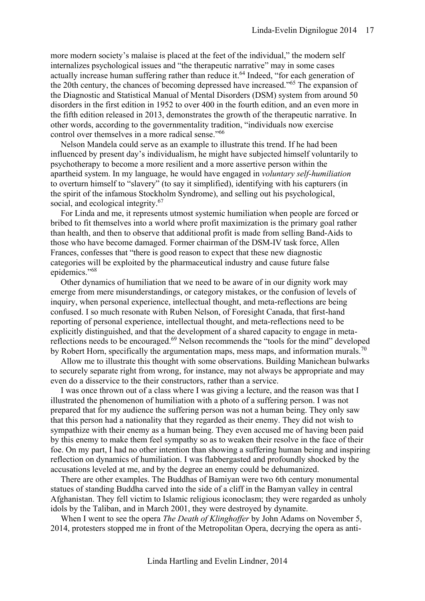more modern society's malaise is placed at the feet of the individual," the modern self internalizes psychological issues and "the therapeutic narrative" may in some cases actually increase human suffering rather than reduce it.<sup>64</sup> Indeed, "for each generation of the 20th century, the chances of becoming depressed have increased."<sup>65</sup> The expansion of the Diagnostic and Statistical Manual of Mental Disorders (DSM) system from around 50 disorders in the first edition in 1952 to over 400 in the fourth edition, and an even more in the fifth edition released in 2013, demonstrates the growth of the therapeutic narrative. In other words, according to the governmentality tradition, "individuals now exercise control over themselves in a more radical sense."<sup>66</sup>

Nelson Mandela could serve as an example to illustrate this trend. If he had been influenced by present day's individualism, he might have subjected himself voluntarily to psychotherapy to become a more resilient and a more assertive person within the apartheid system. In my language, he would have engaged in *voluntary self-humiliation* to overturn himself to "slavery" (to say it simplified), identifying with his capturers (in the spirit of the infamous Stockholm Syndrome), and selling out his psychological, social, and ecological integrity.<sup>67</sup>

For Linda and me, it represents utmost systemic humiliation when people are forced or bribed to fit themselves into a world where profit maximization is the primary goal rather than health, and then to observe that additional profit is made from selling Band-Aids to those who have become damaged. Former chairman of the DSM-IV task force, Allen Frances, confesses that "there is good reason to expect that these new diagnostic categories will be exploited by the pharmaceutical industry and cause future false epidemics." 68

Other dynamics of humiliation that we need to be aware of in our dignity work may emerge from mere misunderstandings, or category mistakes, or the confusion of levels of inquiry, when personal experience, intellectual thought, and meta-reflections are being confused. I so much resonate with Ruben Nelson, of Foresight Canada, that first-hand reporting of personal experience, intellectual thought, and meta-reflections need to be explicitly distinguished, and that the development of a shared capacity to engage in metareflections needs to be encouraged.<sup>69</sup> Nelson recommends the "tools for the mind" developed by Robert Horn, specifically the argumentation maps, mess maps, and information murals.<sup>70</sup>

Allow me to illustrate this thought with some observations. Building Manichean bulwarks to securely separate right from wrong, for instance, may not always be appropriate and may even do a disservice to the their constructors, rather than a service.

I was once thrown out of a class where I was giving a lecture, and the reason was that I illustrated the phenomenon of humiliation with a photo of a suffering person. I was not prepared that for my audience the suffering person was not a human being. They only saw that this person had a nationality that they regarded as their enemy. They did not wish to sympathize with their enemy as a human being. They even accused me of having been paid by this enemy to make them feel sympathy so as to weaken their resolve in the face of their foe. On my part, I had no other intention than showing a suffering human being and inspiring reflection on dynamics of humiliation. I was flabbergasted and profoundly shocked by the accusations leveled at me, and by the degree an enemy could be dehumanized.

There are other examples. The Buddhas of Bamiyan were two 6th century monumental statues of standing Buddha carved into the side of a cliff in the Bamyan valley in central Afghanistan. They fell victim to Islamic religious iconoclasm; they were regarded as unholy idols by the Taliban, and in March 2001, they were destroyed by dynamite.

When I went to see the opera *The Death of Klinghoffer* by John Adams on November 5, 2014, protesters stopped me in front of the Metropolitan Opera, decrying the opera as anti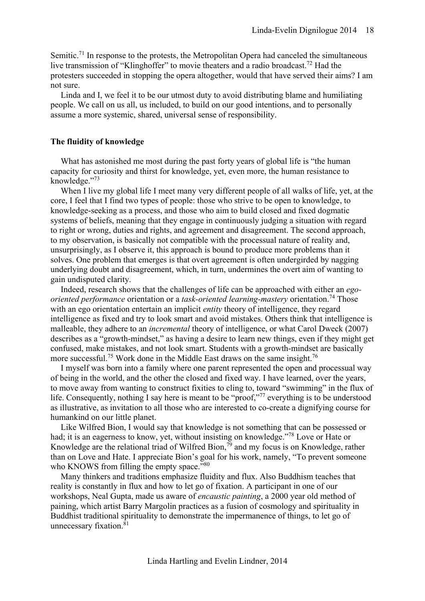Semitic.<sup>71</sup> In response to the protests, the Metropolitan Opera had canceled the simultaneous live transmission of "Klinghoffer" to movie theaters and a radio broadcast.<sup>72</sup> Had the protesters succeeded in stopping the opera altogether, would that have served their aims? I am not sure.

Linda and I, we feel it to be our utmost duty to avoid distributing blame and humiliating people. We call on us all, us included, to build on our good intentions, and to personally assume a more systemic, shared, universal sense of responsibility.

# <span id="page-17-0"></span>**The fluidity of knowledge**

What has astonished me most during the past forty years of global life is "the human capacity for curiosity and thirst for knowledge, yet, even more, the human resistance to knowledge." 73

When I live my global life I meet many very different people of all walks of life, yet, at the core, I feel that I find two types of people: those who strive to be open to knowledge, to knowledge-seeking as a process, and those who aim to build closed and fixed dogmatic systems of beliefs, meaning that they engage in continuously judging a situation with regard to right or wrong, duties and rights, and agreement and disagreement. The second approach, to my observation, is basically not compatible with the processual nature of reality and, unsurprisingly, as I observe it, this approach is bound to produce more problems than it solves. One problem that emerges is that overt agreement is often undergirded by nagging underlying doubt and disagreement, which, in turn, undermines the overt aim of wanting to gain undisputed clarity.

Indeed, research shows that the challenges of life can be approached with either an *egooriented performance* orientation or a *task-oriented learning-mastery* orientation.<sup>74</sup> Those with an ego orientation entertain an implicit *entity* theory of intelligence, they regard intelligence as fixed and try to look smart and avoid mistakes. Others think that intelligence is malleable, they adhere to an *incremental* theory of intelligence, or what Carol Dweck (2007) describes as a "growth-mindset," as having a desire to learn new things, even if they might get confused, make mistakes, and not look smart. Students with a growth-mindset are basically more successful.<sup>75</sup> Work done in the Middle East draws on the same insight.<sup>76</sup>

I myself was born into a family where one parent represented the open and processual way of being in the world, and the other the closed and fixed way. I have learned, over the years, to move away from wanting to construct fixities to cling to, toward "swimming" in the flux of life. Consequently, nothing I say here is meant to be "proof,"<sup>77</sup> everything is to be understood as illustrative, as invitation to all those who are interested to co-create a dignifying course for humankind on our little planet.

Like Wilfred Bion, I would say that knowledge is not something that can be possessed or had; it is an eagerness to know, yet, without insisting on knowledge."<sup>78</sup> Love or Hate or Knowledge are the relational triad of Wilfred Bion,<sup>79</sup> and my focus is on Knowledge, rather than on Love and Hate. I appreciate Bion's goal for his work, namely, "To prevent someone who KNOWS from filling the empty space."80

Many thinkers and traditions emphasize fluidity and flux. Also Buddhism teaches that reality is constantly in flux and how to let go of fixation. A participant in one of our workshops, Neal Gupta, made us aware of *encaustic painting*, a 2000 year old method of paining, which artist Barry Margolin practices as a fusion of cosmology and spirituality in Buddhist traditional spirituality to demonstrate the impermanence of things, to let go of unnecessary fixation.<sup>81</sup>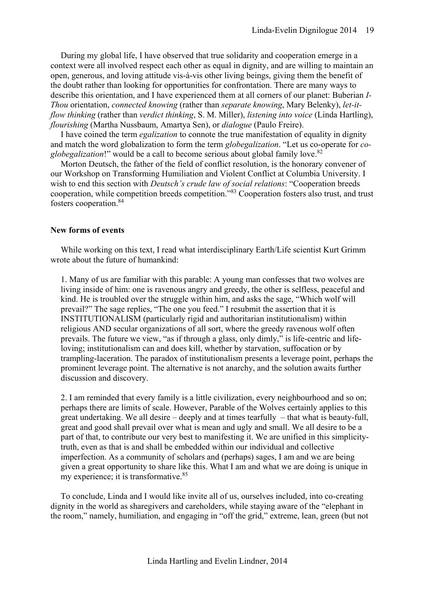During my global life, I have observed that true solidarity and cooperation emerge in a context were all involved respect each other as equal in dignity, and are willing to maintain an open, generous, and loving attitude vis-à-vis other living beings, giving them the benefit of the doubt rather than looking for opportunities for confrontation. There are many ways to describe this orientation, and I have experienced them at all corners of our planet: Buberian *I-Thou* orientation, *connected knowing* (rather than *separate knowing*, Mary Belenky), *let-itflow thinking* (rather than *verdict thinking*, S. M. Miller), *listening into voice* (Linda Hartling), *flourishing* (Martha Nussbaum, Amartya Sen), or *dialogue* (Paulo Freire).

I have coined the term *egalization* to connote the true manifestation of equality in dignity and match the word globalization to form the term *globegalization*. "Let us co-operate for *coglobegalization*!" would be a call to become serious about global family love. 82

Morton Deutsch, the father of the field of conflict resolution, is the honorary convener of our Workshop on Transforming Humiliation and Violent Conflict at Columbia University. I wish to end this section with *Deutsch's crude law of social relations*: "Cooperation breeds cooperation, while competition breeds competition." <sup>83</sup> Cooperation fosters also trust, and trust fosters cooperation.<sup>84</sup>

# <span id="page-18-0"></span>**New forms of events**

While working on this text, I read what interdisciplinary Earth/Life scientist Kurt Grimm wrote about the future of humankind:

1. Many of us are familiar with this parable: A young man confesses that two wolves are living inside of him: one is ravenous angry and greedy, the other is selfless, peaceful and kind. He is troubled over the struggle within him, and asks the sage, "Which wolf will prevail?" The sage replies, "The one you feed." I resubmit the assertion that it is INSTITUTIONALISM (particularly rigid and authoritarian institutionalism) within religious AND secular organizations of all sort, where the greedy ravenous wolf often prevails. The future we view, "as if through a glass, only dimly," is life-centric and lifeloving; institutionalism can and does kill, whether by starvation, suffocation or by trampling-laceration. The paradox of institutionalism presents a leverage point, perhaps the prominent leverage point. The alternative is not anarchy, and the solution awaits further discussion and discovery.

2. I am reminded that every family is a little civilization, every neighbourhood and so on; perhaps there are limits of scale. However, Parable of the Wolves certainly applies to this great undertaking. We all desire – deeply and at times tearfully – that what is beauty-full, great and good shall prevail over what is mean and ugly and small. We all desire to be a part of that, to contribute our very best to manifesting it. We are unified in this simplicitytruth, even as that is and shall be embedded within our individual and collective imperfection. As a community of scholars and (perhaps) sages, I am and we are being given a great opportunity to share like this. What I am and what we are doing is unique in my experience; it is transformative.<sup>85</sup>

To conclude, Linda and I would like invite all of us, ourselves included, into co-creating dignity in the world as sharegivers and careholders, while staying aware of the "elephant in the room," namely, humiliation, and engaging in "off the grid," extreme, lean, green (but not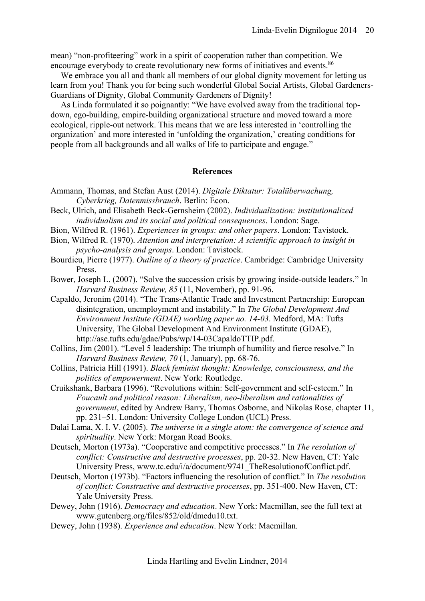mean) "non-profiteering" work in a spirit of cooperation rather than competition. We encourage everybody to create revolutionary new forms of initiatives and events.<sup>86</sup>

We embrace you all and thank all members of our global dignity movement for letting us learn from you! Thank you for being such wonderful Global Social Artists, Global Gardeners-Guardians of Dignity, Global Community Gardeners of Dignity!

As Linda formulated it so poignantly: "We have evolved away from the traditional topdown, ego-building, empire-building organizational structure and moved toward a more ecological, ripple-out network. This means that we are less interested in 'controlling the organization' and more interested in 'unfolding the organization,' creating conditions for people from all backgrounds and all walks of life to participate and engage."

## **References**

- <span id="page-19-7"></span><span id="page-19-0"></span>Ammann, Thomas, and Stefan Aust (2014). *Digitale Diktatur: Totalüberwachung, Cyberkrieg, Datenmissbrauch*. Berlin: Econ.
- <span id="page-19-9"></span>Beck, Ulrich, and Elisabeth Beck-Gernsheim (2002). *Individualization: institutionalized individualism and its social and political consequences*. London: Sage.
- <span id="page-19-1"></span>Bion, Wilfred R. (1961). *Experiences in groups: and other papers*. London: Tavistock.
- <span id="page-19-8"></span>Bion, Wilfred R. (1970). *Attention and interpretation: A scientific approach to insight in psycho-analysis and groups*. London: Tavistock.
- <span id="page-19-10"></span>Bourdieu, Pierre (1977). *Outline of a theory of practice*. Cambridge: Cambridge University Press.

<span id="page-19-3"></span>Bower, Joseph L. (2007). "Solve the succession crisis by growing inside-outside leaders." In *Harvard Business Review, 85* (11, November), pp. 91-96.

<span id="page-19-6"></span>Capaldo, Jeronim (2014). "The Trans-Atlantic Trade and Investment Partnership: European disintegration, unemployment and instability." In *The Global Development And Environment Institute (GDAE) working paper no. 14-03*. Medford, MA: Tufts University, The Global Development And Environment Institute (GDAE), [http://ase.tufts.edu/gdae/Pubs/wp/14-03CapaldoTTIP.pdf.](http://ase.tufts.edu/gdae/Pubs/wp/14-03CapaldoTTIP.pdf)

- <span id="page-19-2"></span>Collins, Jim (2001). "Level 5 leadership: The triumph of humility and fierce resolve." In *Harvard Business Review, 70* (1, January), pp. 68-76.
- <span id="page-19-11"></span>Collins, Patricia Hill (1991). *Black feminist thought: Knowledge, consciousness, and the politics of empowerment*. New York: Routledge.
- <span id="page-19-12"></span>Cruikshank, Barbara (1996). "Revolutions within: Self-government and self-esteem." In *Foucault and political reason: Liberalism, neo-liberalism and rationalities of government*, edited by Andrew Barry, Thomas Osborne, and Nikolas Rose, chapter 11, pp. 231–51. London: University College London (UCL) Press.
- <span id="page-19-13"></span>Dalai Lama, X. I. V. (2005). *The universe in a single atom: the convergence of science and spirituality*. New York: Morgan Road Books.
- <span id="page-19-15"></span>Deutsch, Morton (1973a). "Cooperative and competitive processes." In *The resolution of conflict: Constructive and destructive processes*, pp. 20-32. New Haven, CT: Yale University Press, [www.tc.edu/i/a/document/9741\\_TheResolutionofConflict.pdf.](http://www.tc.edu/i/a/document/9741_TheResolutionofConflict.pdf)
- <span id="page-19-14"></span>Deutsch, Morton (1973b). "Factors influencing the resolution of conflict." In *The resolution of conflict: Constructive and destructive processes*, pp. 351-400. New Haven, CT: Yale University Press.
- <span id="page-19-4"></span>Dewey, John (1916). *Democracy and education*. New York: Macmillan, see the full text at [www.gutenberg.org/files/852/old/dmedu10.txt.](http://www.gutenberg.org/files/852/old/dmedu10.txt)
- <span id="page-19-5"></span>Dewey, John (1938). *Experience and education*. New York: Macmillan.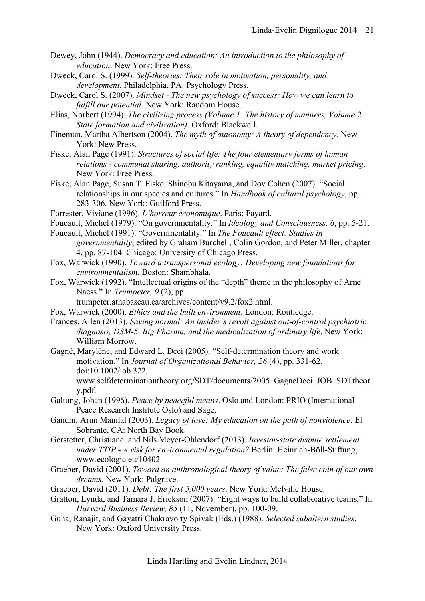- <span id="page-20-4"></span>Dewey, John (1944). *Democracy and education: An introduction to the philosophy of education*. New York: Free Press.
- <span id="page-20-20"></span>Dweck, Carol S. (1999). *Self-theories: Their role in motivation, personality, and development*. Philadelphia, PA: Psychology Press.
- <span id="page-20-21"></span>Dweck, Carol S. (2007). *Mindset - The new psychology of success: How we can learn to fulfill our potential*. New York: Random House.
- <span id="page-20-14"></span>Elias, Norbert (1994). *The civilizing process (Volume 1: The history of manners, Volume 2: State formation and civilization)*. Oxford: Blackwell.
- <span id="page-20-5"></span>Fineman, Martha Albertson (2004). *The myth of autonomy: A theory of dependency*. New York: New Press.
- <span id="page-20-0"></span>Fiske, Alan Page (1991). *Structures of social life: The four elementary forms of human relations - communal sharing, authority ranking, equality matching, market pricing*. New York: Free Press.
- <span id="page-20-1"></span>Fiske, Alan Page, Susan T. Fiske, Shinobu Kitayama, and Dov Cohen (2007). "Social relationships in our species and cultures." In *Handbook of cultural psychology*, pp. 283-306. New York: Guilford Press.
- <span id="page-20-7"></span>Forrester, Viviane (1996). *L'horreur économique*. Paris: Fayard.
- <span id="page-20-15"></span>Foucault, Michel (1979). "On governmentality." In *Ideology and Consciousness, 6*, pp. 5-21.
- <span id="page-20-16"></span>Foucault, Michel (1991). "Governmentality." In *The Foucault effect: Studies in governmentality*, edited by Graham Burchell, Colin Gordon, and Peter Miller, chapter 4, pp. 87-104. Chicago: University of Chicago Press.
- <span id="page-20-11"></span>Fox, Warwick (1990). *Toward a transpersonal ecology: Developing new foundations for environmentalism*. Boston: Shambhala.
- <span id="page-20-10"></span>Fox, Warwick (1992). "Intellectual origins of the "depth" theme in the philosophy of Arne Naess." In *Trumpeter, 9* (2), pp.

trumpeter.athabascau.ca/archives/content/v9.2/fox2.html.

- <span id="page-20-9"></span>Fox, Warwick (2000). *Ethics and the built environment*. London: Routledge.
- <span id="page-20-19"></span>Frances, Allen (2013). *Saving normal: An insider's revolt against out-of-control psychiatric diagnosis, DSM-5, Big Pharma, and the medicalization of ordinary life*. New York: William Morrow.
- <span id="page-20-6"></span>Gagné, Marylène, and Edward L. Deci (2005). "Self-determination theory and work motivation." In *Journal of Organizational Behavior, 26* (4), pp. 331-62, doi:10.1002/job.322,

[www.selfdeterminationtheory.org/SDT/documents/2005\\_GagneDeci\\_JOB\\_SDTtheor](http://www.selfdeterminationtheory.org/SDT/documents/2005_GagneDeci_JOB_SDTtheory.pdf) [y.pdf.](http://www.selfdeterminationtheory.org/SDT/documents/2005_GagneDeci_JOB_SDTtheory.pdf)

- <span id="page-20-17"></span>Galtung, Johan (1996). *Peace by peaceful means*. Oslo and London: PRIO (International Peace Research Institute Oslo) and Sage.
- <span id="page-20-2"></span>Gandhi, Arun Manilal (2003). *Legacy of love: My education on the path of nonviolence*. El Sobrante, CA: North Bay Book.
- <span id="page-20-8"></span>Gerstetter, Christiane, and Nils Meyer-Ohlendorf (2013). *Investor-state dispute settlement under TTIP - A risk for environmental regulation?* Berlin: Heinrich-Böll-Stiftung, [www.ecologic.eu/10402.](http://www.ecologic.eu/10402)
- <span id="page-20-12"></span>Graeber, David (2001). *Toward an anthropological theory of value: The false coin of our own dreams*. New York: Palgrave.
- <span id="page-20-13"></span>Graeber, David (2011). *Debt: The first 5,000 years*. New York: Melville House.
- <span id="page-20-3"></span>Gratton, Lynda, and Tamara J. Erickson (2007). "Eight ways to build collaborative teams." In *Harvard Business Review, 85* (11, November), pp. 100-09.
- <span id="page-20-18"></span>Guha, Ranajit, and Gayatri Chakravorty Spivak (Eds.) (1988). *Selected subaltern studies*. New York: Oxford University Press.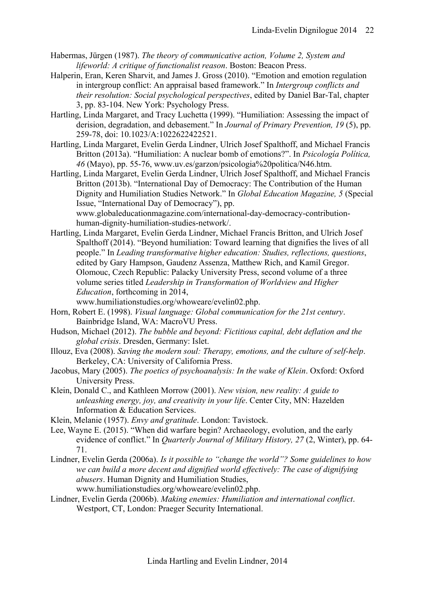- <span id="page-21-9"></span>Habermas, Jürgen (1987). *The theory of communicative action, Volume 2, System and lifeworld: A critique of functionalist reason*. Boston: Beacon Press.
- <span id="page-21-12"></span>Halperin, Eran, Keren Sharvit, and James J. Gross (2010). "Emotion and emotion regulation in intergroup conflict: An appraisal based framework." In *Intergroup conflicts and their resolution: Social psychological perspectives*, edited by Daniel Bar-Tal, chapter 3, pp. 83-104. New York: Psychology Press.
- <span id="page-21-5"></span>Hartling, Linda Margaret, and Tracy Luchetta (1999). "Humiliation: Assessing the impact of derision, degradation, and debasement." In *Journal of Primary Prevention, 19* (5), pp. 259-78, doi: 10.1023/A:1022622422521.
- <span id="page-21-1"></span>Hartling, Linda Margaret, Evelin Gerda Lindner, Ulrich Josef Spalthoff, and Michael Francis Britton (2013a). "Humiliation: A nuclear bomb of emotions?". In *Psicología Política, 46* (Mayo), pp. 55-76, [www.uv.es/garzon/psicologia%20politica/N46.htm.](http://www.uv.es/garzon/psicologia%20politica/N46.htm)
- <span id="page-21-2"></span>Hartling, Linda Margaret, Evelin Gerda Lindner, Ulrich Josef Spalthoff, and Michael Francis Britton (2013b). "International Day of Democracy: The Contribution of the Human Dignity and Humiliation Studies Network." In *Global Education Magazine, 5* (Special Issue, "International Day of Democracy"), pp. [www.globaleducationmagazine.com/international-day-democracy-contribution-](http://www.globaleducationmagazine.com/international-day-democracy-contribution-human-dignity-humiliation-studies-network/)

[human-dignity-humiliation-studies-network/.](http://www.globaleducationmagazine.com/international-day-democracy-contribution-human-dignity-humiliation-studies-network/)

<span id="page-21-0"></span>Hartling, Linda Margaret, Evelin Gerda Lindner, Michael Francis Britton, and Ulrich Josef Spalthoff (2014). "Beyond humiliation: Toward learning that dignifies the lives of all people." In *Leading transformative higher education: Studies, reflections, questions*, edited by Gary Hampson, Gaudenz Assenza, Matthew Rich, and Kamil Gregor. Olomouc, Czech Republic: Palacky University Press, second volume of a three volume series titled *Leadership in Transformation of Worldview and Higher Education*, forthcoming in 2014,

[www.humiliationstudies.org/whoweare/evelin02.php.](http://www.humiliationstudies.org/whoweare/evelin02.php)

- <span id="page-21-11"></span>Horn, Robert E. (1998). *Visual language: Global communication for the 21st century*. Bainbridge Island, WA: MacroVU Press.
- <span id="page-21-7"></span>Hudson, Michael (2012). *The bubble and beyond: Fictitious capital, debt deflation and the global crisis*. Dresden, Germany: Islet.
- <span id="page-21-10"></span>Illouz, Eva (2008). *Saving the modern soul: Therapy, emotions, and the culture of self-help*. Berkeley, CA: University of California Press.
- <span id="page-21-14"></span>Jacobus, Mary (2005). *The poetics of psychoanalysis: In the wake of Klein*. Oxford: Oxford University Press.
- <span id="page-21-6"></span>Klein, Donald C., and Kathleen Morrow (2001). *New vision, new reality: A guide to unleashing energy, joy, and creativity in your life*. Center City, MN: Hazelden Information & Education Services.
- <span id="page-21-13"></span>Klein, Melanie (1957). *Envy and gratitude*. London: Tavistock.
- <span id="page-21-3"></span>Lee, Wayne E. (2015). "When did warfare begin? Archaeology, evolution, and the early evidence of conflict." In *Quarterly Journal of Military History, 27* (2, Winter), pp. 64- 71.
- <span id="page-21-4"></span>Lindner, Evelin Gerda (2006a). *Is it possible to "change the world"? Some guidelines to how we can build a more decent and dignified world effectively: The case of dignifying abusers*. Human Dignity and Humiliation Studies, [www.humiliationstudies.org/whoweare/evelin02.php.](http://www.humiliationstudies.org/whoweare/evelin02.php)
	-
- <span id="page-21-8"></span>Lindner, Evelin Gerda (2006b). *Making enemies: Humiliation and international conflict*. Westport, CT, London: Praeger Security International.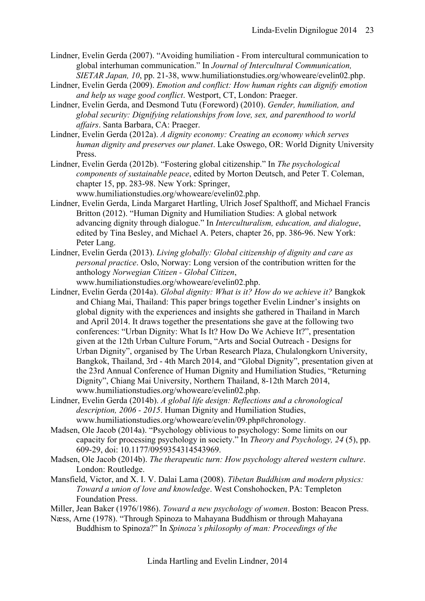- <span id="page-22-5"></span>Lindner, Evelin Gerda (2007). "Avoiding humiliation - From intercultural communication to global interhuman communication." In *Journal of Intercultural Communication, SIETAR Japan, 10*, pp. 21-38, [www.humiliationstudies.org/whoweare/evelin02.php.](http://www.humiliationstudies.org/whoweare/evelin02.php)
- <span id="page-22-12"></span>Lindner, Evelin Gerda (2009). *Emotion and conflict: How human rights can dignify emotion and help us wage good conflict*. Westport, CT, London: Praeger.
- <span id="page-22-1"></span>Lindner, Evelin Gerda, and Desmond Tutu (Foreword) (2010). *Gender, humiliation, and global security: Dignifying relationships from love, sex, and parenthood to world affairs*. Santa Barbara, CA: Praeger.
- <span id="page-22-3"></span>Lindner, Evelin Gerda (2012a). *A dignity economy: Creating an economy which serves human dignity and preserves our planet*. Lake Oswego, OR: World Dignity University Press.
- <span id="page-22-6"></span>Lindner, Evelin Gerda (2012b). "Fostering global citizenship." In *The psychological components of sustainable peace*, edited by Morton Deutsch, and Peter T. Coleman, chapter 15, pp. 283-98. New York: Springer, [www.humiliationstudies.org/whoweare/evelin02.php.](http://www.humiliationstudies.org/whoweare/evelin02.php)
- <span id="page-22-0"></span>Lindner, Evelin Gerda, Linda Margaret Hartling, Ulrich Josef Spalthoff, and Michael Francis Britton (2012). "Human Dignity and Humiliation Studies: A global network advancing dignity through dialogue." In *Interculturalism, education, and dialogue*, edited by Tina Besley, and Michael A. Peters, chapter 26, pp. 386-96. New York: Peter Lang.
- <span id="page-22-7"></span>Lindner, Evelin Gerda (2013). *Living globally: Global citizenship of dignity and care as personal practice*. Oslo, Norway: Long version of the contribution written for the anthology *Norwegian Citizen - Global Citizen*,

[www.humiliationstudies.org/whoweare/evelin02.php.](http://www.humiliationstudies.org/whoweare/evelin02.php)

- <span id="page-22-8"></span>Lindner, Evelin Gerda (2014a). *Global dignity: What is it? How do we achieve it?* Bangkok and Chiang Mai, Thailand: This paper brings together Evelin Lindner's insights on global dignity with the experiences and insights she gathered in Thailand in March and April 2014. It draws together the presentations she gave at the following two conferences: "Urban Dignity: What Is It? How Do We Achieve It?", presentation given at the 12th Urban Culture Forum, "Arts and Social Outreach - Designs for Urban Dignity", organised by The Urban Research Plaza, Chulalongkorn University, Bangkok, Thailand, 3rd - 4th March 2014, and "Global Dignity", presentation given at the 23rd Annual Conference of Human Dignity and Humiliation Studies, "Returning Dignity", Chiang Mai University, Northern Thailand, 8-12th March 2014, [www.humiliationstudies.org/whoweare/evelin02.php.](http://www.humiliationstudies.org/whoweare/evelin02.php)
- <span id="page-22-4"></span>Lindner, Evelin Gerda (2014b). *A global life design: Reflections and a chronological description, 2006 - 2015*. Human Dignity and Humiliation Studies, [www.humiliationstudies.org/whoweare/evelin/09.php#chronology.](http://www.humiliationstudies.org/whoweare/evelin/09.php#chronology)
- <span id="page-22-10"></span>Madsen, Ole Jacob (2014a). "Psychology oblivious to psychology: Some limits on our capacity for processing psychology in society." In *Theory and Psychology, 24* (5), pp. 609-29, doi: 10.1177/0959354314543969.
- <span id="page-22-11"></span>Madsen, Ole Jacob (2014b). *The therapeutic turn: How psychology altered western culture*. London: Routledge.
- <span id="page-22-13"></span>Mansfield, Victor, and X. I. V. Dalai Lama (2008). *Tibetan Buddhism and modern physics: Toward a union of love and knowledge*. West Conshohocken, PA: Templeton Foundation Press.
- <span id="page-22-2"></span>Miller, Jean Baker (1976/1986). *Toward a new psychology of women*. Boston: Beacon Press.
- <span id="page-22-9"></span>Næss, Arne (1978). "Through Spinoza to Mahayana Buddhism or through Mahayana Buddhism to Spinoza?" In *Spinoza's philosophy of man: Proceedings of the*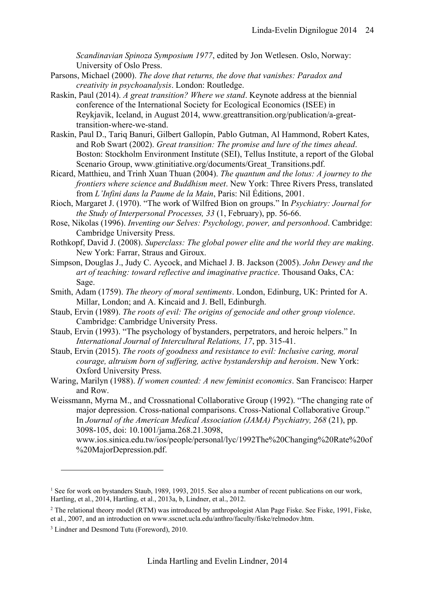*Scandinavian Spinoza Symposium 1977*, edited by Jon Wetlesen. Oslo, Norway: University of Oslo Press.

- <span id="page-23-12"></span>Parsons, Michael (2000). *The dove that returns, the dove that vanishes: Paradox and creativity in psychoanalysis*. London: Routledge.
- <span id="page-23-10"></span>Raskin, Paul (2014). *A great transition? Where we stand*. Keynote address at the biennial conference of the International Society for Ecological Economics (ISEE) in Reykjavik, Iceland, in August 2014, [www.greattransition.org/publication/a-great](http://www.greattransition.org/publication/a-great-transition-where-we-stand)[transition-where-we-stand.](http://www.greattransition.org/publication/a-great-transition-where-we-stand)
- <span id="page-23-11"></span>Raskin, Paul D., Tariq Banuri, Gilbert Gallopín, Pablo Gutman, Al Hammond, Robert Kates, and Rob Swart (2002). *Great transition: The promise and lure of the times ahead*. Boston: Stockholm Environment Institute (SEI), Tellus Institute, a report of the Global Scenario Group, [www.gtinitiative.org/documents/Great\\_Transitions.pdf.](http://www.gtinitiative.org/documents/Great_Transitions.pdf)
- <span id="page-23-13"></span>Ricard, Matthieu, and Trinh Xuan Thuan (2004). *The quantum and the lotus: A journey to the frontiers where science and Buddhism meet*. New York: Three Rivers Press, translated from *L'Infini dans la Paume de la Main*, Paris: Nil Éditions, 2001.
- <span id="page-23-3"></span>Rioch, Margaret J. (1970). "The work of Wilfred Bion on groups." In *Psychiatry: Journal for the Study of Interpersonal Processes, 33* (1, February), pp. 56-66.
- <span id="page-23-9"></span>Rose, Nikolas (1996). *Inventing our Selves: Psychology, power, and personhood*. Cambridge: Cambridge University Press.
- <span id="page-23-6"></span>Rothkopf, David J. (2008). *Superclass: The global power elite and the world they are making*. New York: Farrar, Straus and Giroux.
- <span id="page-23-4"></span>Simpson, Douglas J., Judy C. Aycock, and Michael J. B. Jackson (2005). *John Dewey and the art of teaching: toward reflective and imaginative practice*. Thousand Oaks, CA: Sage.
- <span id="page-23-7"></span>Smith, Adam (1759). *The theory of moral sentiments*. London, Edinburg, UK: Printed for A. Millar, London; and A. Kincaid and J. Bell, Edinburgh.
- <span id="page-23-0"></span>Staub, Ervin (1989). *The roots of evil: The origins of genocide and other group violence*. Cambridge: Cambridge University Press.
- <span id="page-23-1"></span>Staub, Ervin (1993). "The psychology of bystanders, perpetrators, and heroic helpers." In *International Journal of Intercultural Relations, 17*, pp. 315-41.
- <span id="page-23-2"></span>Staub, Ervin (2015). *The roots of goodness and resistance to evil: Inclusive caring, moral courage, altruism born of suffering, active bystandership and heroism*. New York: Oxford University Press.
- <span id="page-23-5"></span>Waring, Marilyn (1988). *If women counted: A new feminist economics*. San Francisco: Harper and Row.
- <span id="page-23-8"></span>Weissmann, Myrna M., and Crossnational Collaborative Group (1992). "The changing rate of major depression. Cross-national comparisons. Cross-National Collaborative Group." In *Journal of the American Medical Association (JAMA) Psychiatry, 268* (21), pp. 3098-105, doi: 10.1001/jama.268.21.3098,

 $\overline{a}$ 

[www.ios.sinica.edu.tw/ios/people/personal/lyc/1992The%20Changing%20Rate%20of](http://www.ios.sinica.edu.tw/ios/people/personal/lyc/1992The%20Changing%20Rate%20of%20MajorDepression.pdf) [%20MajorDepression.pdf.](http://www.ios.sinica.edu.tw/ios/people/personal/lyc/1992The%20Changing%20Rate%20of%20MajorDepression.pdf)

<sup>&</sup>lt;sup>1</sup> See for work on bystander[s Staub, 1989,](#page-23-0) [1993,](#page-23-1) [2015.](#page-23-2) See also a number of recent publications on our work, [Hartling, et al., 2014,](#page-21-0) [Hartling, et](#page-21-1) al., 2013a, [b,](#page-21-2) [Lindner, et al., 2012.](#page-22-0)

<sup>2</sup> The relational theory model (RTM) was introduced by anthropologist Alan Page Fiske. See [Fiske, 1991,](#page-20-0) [Fiske,](#page-20-1)  [et al., 2007,](#page-20-1) and an introduction on www.sscnet.ucla.edu/anthro/faculty/fiske/relmodov.htm.

<sup>&</sup>lt;sup>3</sup> [Lindner and Desmond Tutu \(Foreword\), 2010.](#page-22-1)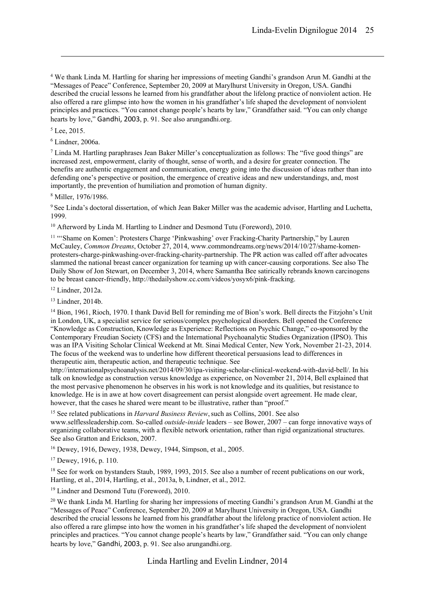<sup>4</sup> We thank Linda M. Hartling for sharing her impressions of meeting Gandhi's grandson Arun M. Gandhi at the "Messages of Peace" Conference, September 20, 2009 at Marylhurst University in Oregon, USA. Gandhi described the crucial lessons he learned from his grandfather about the lifelong practice of nonviolent action. He also offered a rare glimpse into how the women in his grandfather's life shaped the development of nonviolent principles and practices. "You cannot change people's hearts by law," Grandfather said. "You can only change hearts by love," [Gandhi, 2003](#page-20-2), p. 91. See also arungandhi.org.

<sup>5</sup> [Lee, 2015.](#page-21-3)

1

<sup>6</sup> [Lindner, 2006a.](#page-21-4)

<sup>7</sup> Linda M. Hartling paraphrases Jean Baker Miller's conceptualization as follows: The "five good things" are increased zest, empowerment, clarity of thought, sense of worth, and a desire for greater connection. The benefits are authentic engagement and communication, energy going into the discussion of ideas rather than into defending one's perspective or position, the emergence of creative ideas and new understandings, and, most importantly, the prevention of humiliation and promotion of human dignity.

<sup>8</sup> [Miller, 1976/1986.](#page-22-2)

<sup>9</sup> See Linda's doctoral dissertation, of which Jean Baker Miller was the academic advisor, Hartling and Luchetta, 1999.

<sup>10</sup> Afterword by Linda M. Hartling to [Lindner and Desmond Tutu \(Foreword\), 2010.](#page-22-1)

<sup>11</sup> "Shame on Komen': Protesters Charge 'Pinkwashing' over Fracking-Charity Partnership," by Lauren McCauley, *Common Dreams*, October 27, 2014[, www.commondreams.org/news/2014/10/27/shame-komen](http://www.commondreams.org/news/2014/10/27/shame-komen-protesters-charge-pinkwashing-over-fracking-charity-partnership)[protesters-charge-pinkwashing-over-fracking-charity-partnership.](http://www.commondreams.org/news/2014/10/27/shame-komen-protesters-charge-pinkwashing-over-fracking-charity-partnership) The PR action was called off after advocates slammed the national breast cancer organization for teaming up with cancer-causing corporations. See also The Daily Show of Jon Stewart, on December 3, 2014, where Samantha Bee satirically rebrands known carcinogens to be breast cancer-friendly, http://thedailyshow.cc.com/videos/yosyx6/pink-fracking.

<sup>12</sup> [Lindner, 2012a.](#page-22-3)

<sup>13</sup> [Lindner, 2014b.](#page-22-4)

<sup>14</sup> [Bion, 1961,](#page-19-1) [Rioch, 1970.](#page-23-3) I thank David Bell for reminding me of Bion's work. Bell directs the Fitzjohn's Unit in London, UK, a specialist service for serious/complex psychological disorders. Bell opened the Conference "Knowledge as Construction, Knowledge as Experience: Reflections on Psychic Change," co-sponsored by the Contemporary Freudian Society (CFS) and the International Psychoanalytic Studies Organization (IPSO). This was an IPA Visiting Scholar Clinical Weekend at Mt. Sinai Medical Center, New York, November 21-23, 2014. The focus of the weekend was to underline how different theoretical persuasions lead to differences in therapeutic aim, therapeutic action, and therapeutic technique. See

[http://internationalpsychoanalysis.net/2014/09/30/ipa-visiting-scholar-clinical-weekend-with-david-bell/.](http://internationalpsychoanalysis.net/2014/09/30/ipa-visiting-scholar-clinical-weekend-with-david-bell/) In his talk on knowledge as construction versus knowledge as experience, on November 21, 2014, Bell explained that the most pervasive phenomenon he observes in his work is not knowledge and its qualities, but resistance to knowledge. He is in awe at how covert disagreement can persist alongside overt agreement. He made clear, however, that the cases he shared were meant to be illustrative, rather than "proof."

<sup>15</sup> See related publications in *Harvard Business Review*, such as [Collins, 2001.](#page-19-2) See also www.selflessleadership.com. So-called *outside-inside* leaders – se[e Bower, 2007](#page-19-3) – can forge innovative ways of organizing collaborative teams, with a flexible network orientation, rather than rigid organizational structures. See also [Gratton and Erickson, 2007.](#page-20-3)

<sup>16</sup> [Dewey, 1916,](#page-19-4) [Dewey, 1938,](#page-19-5) [Dewey, 1944,](#page-20-4) [Simpson, et al., 2005.](#page-23-4)

<sup>17</sup> [Dewey, 1916,](#page-19-4) p. 110.

<sup>18</sup> See for work on bystanders [Staub, 1989,](#page-23-0) [1993,](#page-23-1) [2015.](#page-23-2) See also a number of recent publications on our work, [Hartling, et al., 2014,](#page-21-0) [Hartling, et al., 2013a,](#page-21-1) [b,](#page-21-2) [Lindner, et al., 2012.](#page-22-0)

<sup>19</sup> [Lindner and Desmond Tutu \(Foreword\), 2010.](#page-22-1)

<sup>20</sup> We thank Linda M. Hartling for sharing her impressions of meeting Gandhi's grandson Arun M. Gandhi at the "Messages of Peace" Conference, September 20, 2009 at Marylhurst University in Oregon, USA. Gandhi described the crucial lessons he learned from his grandfather about the lifelong practice of nonviolent action. He also offered a rare glimpse into how the women in his grandfather's life shaped the development of nonviolent principles and practices. "You cannot change people's hearts by law," Grandfather said. "You can only change hearts by love," [Gandhi, 2003](#page-20-2), p. 91. See also arungandhi.org.

Linda Hartling and Evelin Lindner, 2014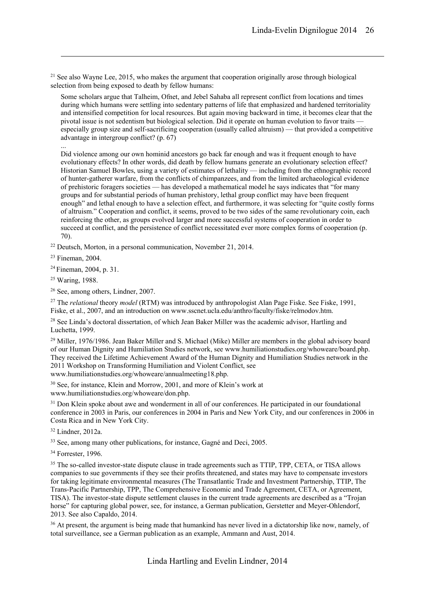<sup>21</sup> See also Wayne [Lee, 2015,](#page-21-3) who makes the argument that cooperation originally arose through biological selection from being exposed to death by fellow humans:

Some scholars argue that Talheim, Ofnet, and Jebel Sahaba all represent conflict from locations and times during which humans were settling into sedentary patterns of life that emphasized and hardened territoriality and intensified competition for local resources. But again moving backward in time, it becomes clear that the pivotal issue is not sedentism but biological selection. Did it operate on human evolution to favor traits especially group size and self-sacrificing cooperation (usually called altruism) — that provided a competitive advantage in intergroup conflict? (p. 67)

Did violence among our own hominid ancestors go back far enough and was it frequent enough to have evolutionary effects? In other words, did death by fellow humans generate an evolutionary selection effect? Historian Samuel Bowles, using a variety of estimates of lethality — including from the ethnographic record of hunter-gatherer warfare, from the conflicts of chimpanzees, and from the limited archaeological evidence of prehistoric foragers societies — has developed a mathematical model he says indicates that "for many groups and for substantial periods of human prehistory, lethal group conflict may have been frequent enough" and lethal enough to have a selection effect, and furthermore, it was selecting for "quite costly forms of altruism." Cooperation and conflict, it seems, proved to be two sides of the same revolutionary coin, each reinforcing the other, as groups evolved larger and more successful systems of cooperation in order to succeed at conflict, and the persistence of conflict necessitated ever more complex forms of cooperation (p. 70).

 $22$  Deutsch, Morton, in a personal communication, November 21, 2014.

<sup>23</sup> [Fineman, 2004.](#page-20-5)

1

...

<sup>24</sup> [Fineman, 2004,](#page-20-5) p. 31.

<sup>25</sup> [Waring, 1988.](#page-23-5)

<sup>26</sup> See, among others, [Lindner, 2007.](#page-22-5)

<sup>27</sup> The *relational* theory *model* (RTM) was introduced by anthropologist Alan Page Fiske. See [Fiske, 1991,](#page-20-0) [Fiske, et al., 2007,](#page-20-1) and an introduction on www.sscnet.ucla.edu/anthro/faculty/fiske/relmodov.htm.

<sup>28</sup> See Linda's doctoral dissertation, of which Jean Baker Miller was the academic advisor, Hartling and Luchetta, 1999.

<sup>29</sup> [Miller, 1976/1986.](#page-22-2) Jean Baker Miller and S. Michael (Mike) Miller are members in the global advisory board of our Human Dignity and Humiliation Studies network, see www.humiliationstudies.org/whoweare/board.php. They received the Lifetime Achievement Award of the Human Dignity and Humiliation Studies network in the 2011 Workshop on Transforming Humiliation and Violent Conflict, see www.humiliationstudies.org/whoweare/annualmeeting18.php.

<sup>30</sup> See, for instance, [Klein and Morrow, 2001,](#page-21-6) and more of Klein's work at

www.humiliationstudies.org/whoweare/don.php.

<sup>31</sup> Don Klein spoke about awe and wonderment in all of our conferences. He participated in our foundational conference in 2003 in Paris, our conferences in 2004 in Paris and New York City, and our conferences in 2006 in Costa Rica and in New York City.

<sup>32</sup> [Lindner, 2012a.](#page-22-3)

 $33$  See, among many other publications, for instance, [Gagné and Deci, 2005.](#page-20-6)

 $34$  [Forrester, 1996.](#page-20-7)

<sup>35</sup> The so-called investor-state dispute clause in trade agreements such as TTIP, TPP, CETA, or TISA allows companies to sue governments if they see their profits threatened, and states may have to compensate investors for taking legitimate environmental measures (The Transatlantic Trade and Investment Partnership, TTIP, The Trans-Pacific Partnership, TPP, The Comprehensive Economic and Trade Agreement, CETA, or Agreement, TISA). The investor-state dispute settlement clauses in the current trade agreements are described as a "Trojan horse" for capturing global power, see, for instance, a German publication, Gerstetter and Meyer-Ohlendorf, 2013. See also [Capaldo, 2014.](#page-19-6)

<sup>36</sup> At present, the argument is being made that humankind has never lived in a dictatorship like now, namely, of total surveillance, see a German publication as an example, [Ammann and Aust, 2014.](#page-19-7)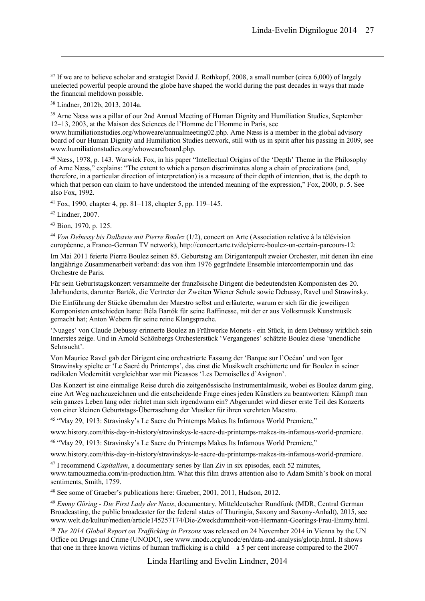$37$  If we are to believe scholar and strategist David J. [Rothkopf, 2008,](#page-23-6) a small number (circa 6,000) of largely unelected powerful people around the globe have shaped the world during the past decades in ways that made the financial meltdown possible.

<sup>38</sup> [Lindner,](#page-22-6) 2012b[, 2013,](#page-22-7) [2014a.](#page-22-8)

1

<sup>39</sup> Arne Næss was a pillar of our 2nd Annual Meeting of Human Dignity and Humiliation Studies, September 12–13, 2003, at the Maison des Sciences de l'Homme de l'Homme in Paris, see

www.humiliationstudies.org/whoweare/annualmeeting02.php. Arne Næss is a member in the global advisory board of our Human Dignity and Humiliation Studies network, still with us in spirit after his passing in 2009, see www.humiliationstudies.org/whoweare/board.php.

<sup>40</sup> [Næss, 1978,](#page-22-9) p. 143. Warwick Fox, in his paper "Intellectual Origins of the 'Depth' Theme in the Philosophy of Arne Næss," explains: "The extent to which a person discriminates along a chain of precizations (and, therefore, in a particular direction of interpretation) is a measure of their depth of intention, that is, the depth to which that person can claim to have understood the intended meaning of the expression," [Fox, 2000,](#page-20-9) p. 5. See also [Fox, 1992.](#page-20-10)

<sup>41</sup> [Fox, 1990,](#page-20-11) chapter 4, pp. 81–118, chapter 5, pp. 119–145.

<sup>42</sup> [Lindner, 2007.](#page-22-5)

<sup>43</sup> [Bion, 1970,](#page-19-8) p. 125.

<sup>44</sup> *Von Debussy bis Dalbavie mit Pierre Boulez* (1/2), concert on Arte (Association relative à la télévision européenne, a Franco-German TV network), http://concert.arte.tv/de/pierre-boulez-un-certain-parcours-12:

Im Mai 2011 feierte Pierre Boulez seinen 85. Geburtstag am Dirigentenpult zweier Orchester, mit denen ihn eine langjährige Zusammenarbeit verband: das von ihm 1976 gegründete Ensemble intercontemporain und das Orchestre de Paris.

Für sein Geburtstagskonzert versammelte der französische Dirigent die bedeutendsten Komponisten des 20. Jahrhunderts, darunter Bartók, die Vertreter der Zweiten Wiener Schule sowie Debussy, Ravel und Strawinsky.

Die Einführung der Stücke übernahm der Maestro selbst und erläuterte, warum er sich für die jeweiligen Komponisten entschieden hatte: Béla Bartók für seine Raffinesse, mit der er aus Volksmusik Kunstmusik gemacht hat; Anton Webern für seine reine Klangsprache.

'Nuages' von Claude Debussy erinnerte Boulez an Frühwerke Monets - ein Stück, in dem Debussy wirklich sein Innerstes zeige. Und in Arnold Schönbergs Orchesterstück 'Vergangenes' schätzte Boulez diese 'unendliche Sehnsucht'.

Von Maurice Ravel gab der Dirigent eine orchestrierte Fassung der 'Barque sur l'Océan' und von Igor Strawinsky spielte er 'Le Sacré du Printemps', das einst die Musikwelt erschütterte und für Boulez in seiner radikalen Modernität vergleichbar war mit Picassos 'Les Demoiselles d'Avignon'.

Das Konzert ist eine einmalige Reise durch die zeitgenössische Instrumentalmusik, wobei es Boulez darum ging, eine Art Weg nachzuzeichnen und die entscheidende Frage eines jeden Künstlers zu beantworten: Kämpft man sein ganzes Leben lang oder richtet man sich irgendwann ein? Abgerundet wird dieser erste Teil des Konzerts von einer kleinen Geburtstags-Überraschung der Musiker für ihren verehrten Maestro.

<sup>45</sup> "May 29, 1913: Stravinsky's Le Sacre du Printemps Makes Its Infamous World Premiere,"

www.history.com/this-day-in-history/stravinskys-le-sacre-du-printemps-makes-its-infamous-world-premiere.

<sup>46</sup> "May 29, 1913: Stravinsky's Le Sacre du Printemps Makes Its Infamous World Premiere,"

www.history.com/this-day-in-history/stravinskys-le-sacre-du-printemps-makes-its-infamous-world-premiere.

<sup>47</sup> I recommend *Capitalism*, a documentary series by Ilan Ziv in six episodes, each 52 minutes, [www.tamouzmedia.com/in-production.htm.](http://www.tamouzmedia.com/in-production.htm) What this film draws attention also to Adam Smith's book on moral sentiments[, Smith, 1759.](#page-23-7)

<sup>48</sup> See some of Graeber's publications here: [Graeber, 2001,](#page-20-12) [2011,](#page-20-13) [Hudson, 2012.](#page-21-7)

<sup>49</sup> *Emmy Göring - Die First Lady der Nazis*, documentary, Mitteldeutscher Rundfunk (MDR, Central German Broadcasting, the public broadcaster for the federal states of Thuringia, Saxony and Saxony-Anhalt), 2015, see www.welt.de/kultur/medien/article145257174/Die-Zweckdummheit-von-Hermann-Goerings-Frau-Emmy.html.

<sup>50</sup> *The 2014 Global Report on Trafficking in Persons* was released on 24 November 2014 in Vienna by the UN Office on Drugs and Crime (UNODC), see www.unodc.org/unodc/en/data-and-analysis/glotip.html. It shows that one in three known victims of human trafficking is a child – a 5 per cent increase compared to the 2007–

Linda Hartling and Evelin Lindner, 2014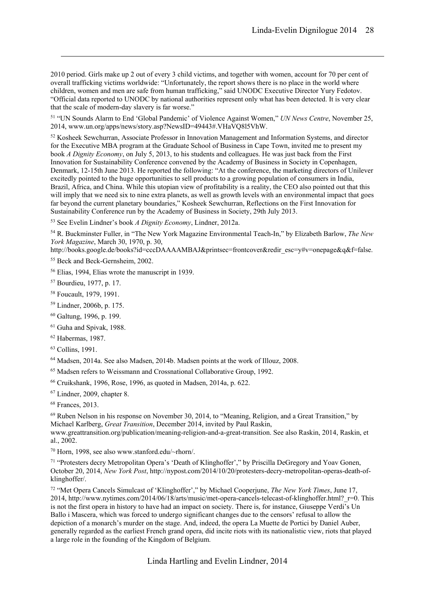2010 period. Girls make up 2 out of every 3 child victims, and together with women, account for 70 per cent of overall trafficking victims worldwide: "Unfortunately, the report shows there is no place in the world where children, women and men are safe from human trafficking," said UNODC Executive Director Yury Fedotov. "Official data reported to UNODC by national authorities represent only what has been detected. It is very clear that the scale of modern-day slavery is far worse."

51 "UN Sounds Alarm to End 'Global Pandemic' of Violence Against Women," *UN News Centre*, November 25, 2014, www.un.org/apps/news/story.asp?NewsID=49443#.VHaVQ8l5VhW.

<sup>52</sup> Kosheek Sewchurran, Associate Professor in Innovation Management and Information Systems, and director for the Executive MBA program at the Graduate School of Business in Cape Town, invited me to present my book *A Dignity Economy*, on July 5, 2013, to his students and colleagues. He was just back from the First Innovation for Sustainability Conference convened by the Academy of Business in Society in Copenhagen, Denmark, 12-15th June 2013. He reported the following: "At the conference, the marketing directors of Unilever excitedly pointed to the huge opportunities to sell products to a growing population of consumers in India, Brazil, Africa, and China. While this utopian view of profitability is a reality, the CEO also pointed out that this will imply that we need six to nine extra planets, as well as growth levels with an environmental impact that goes far beyond the current planetary boundaries," Kosheek Sewchurran, Reflections on the First Innovation for Sustainability Conference run by the Academy of Business in Society, 29th July 2013.

<sup>53</sup> See Evelin Lindner's book *A Dignity Economy*[, Lindner, 2012a.](#page-22-3)

<sup>54</sup> R. Buckminster Fuller, in "The New York Magazine Environmental Teach-In," by Elizabeth Barlow, *The New York Magazine*, March 30, 1970, p. 30,

http://books.google.de/books?id=cccDAAAAMBAJ&printsec=frontcover&redir\_esc=y#v=onepage&q&f=false.

<sup>55</sup> [Beck and Beck-Gernsheim, 2002.](#page-19-9)

<sup>56</sup> [Elias, 1994,](#page-20-14) Elias wrote the manuscript in 1939.

<sup>57</sup> [Bourdieu, 1977,](#page-19-10) p. 17.

1

- <sup>58</sup> [Foucault, 1979,](#page-20-15) [1991.](#page-20-16)
- <sup>59</sup> [Lindner, 2006b,](#page-21-8) p. 175.
- <sup>60</sup> [Galtung, 1996,](#page-20-17) p. 199.
- <sup>61</sup> [Guha and Spivak, 1988.](#page-20-18)
- <sup>62</sup> [Habermas, 1987.](#page-21-9)
- <sup>63</sup> [Collins, 1991.](#page-19-11)

<sup>64</sup> [Madsen, 2014a.](#page-22-10) See als[o Madsen, 2014b.](#page-22-11) Madsen points at the work o[f Illouz, 2008.](#page-21-10)

<sup>65</sup> Madsen refers t[o Weissmann and Crossnational Collaborative Group, 1992.](#page-23-8)

<sup>66</sup> [Cruikshank, 1996,](#page-19-12) [Rose, 1996,](#page-23-9) as quoted in [Madsen, 2014a,](#page-22-10) p. 622.

<sup>67</sup> [Lindner, 2009,](#page-22-12) chapter 8.

<sup>68</sup> [Frances, 2013.](#page-20-19)

<sup>69</sup> Ruben Nelson in his response on November 30, 2014, to "Meaning, Religion, and a Great Transition," by Michael Karlberg, *Great Transition*, December 2014, invited by Paul Raskin,

[www.greattransition.org/publication/meaning-religion-and-a-great-transition.](http://www.greattransition.org/publication/meaning-religion-and-a-great-transition) See als[o Raskin, 2014,](#page-23-10) [Raskin, et](#page-23-11)  [al., 2002.](#page-23-11)

<sup>70</sup> [Horn, 1998,](#page-21-11) see also www.stanford.edu/~rhorn/.

<sup>71</sup> "Protesters decry Metropolitan Opera's 'Death of Klinghoffer'," by Priscilla DeGregory and Yoav Gonen, October 20, 2014, *New York Post*, http://nypost.com/2014/10/20/protesters-decry-metropolitan-operas-death-ofklinghoffer/.

72 "Met Opera Cancels Simulcast of 'Klinghoffer'," by Michael Cooperjune, *The New York Times*, June 17, 2014, http://www.nytimes.com/2014/06/18/arts/music/met-opera-cancels-telecast-of-klinghoffer.html? r=0. This is not the first opera in history to have had an impact on society. There is, for instance, Giuseppe Verdi's Un Ballo i Mascera, which was forced to undergo significant changes due to the censors' refusal to allow the depiction of a monarch's murder on the stage. And, indeed, the opera La Muette de Portici by Daniel Auber, generally regarded as the earliest French grand opera, did incite riots with its nationalistic view, riots that played a large role in the founding of the Kingdom of Belgium.

Linda Hartling and Evelin Lindner, 2014